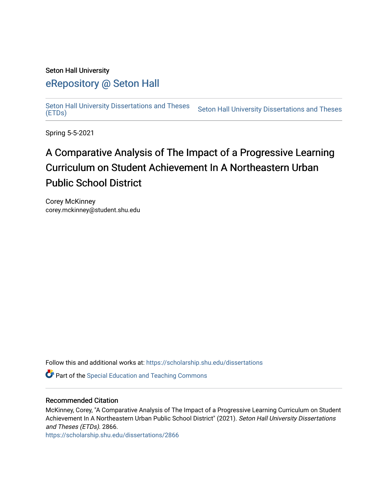#### Seton Hall University

# [eRepository @ Seton Hall](https://scholarship.shu.edu/)

[Seton Hall University Dissertations and Theses](https://scholarship.shu.edu/dissertations)  Seton Hall University Dissertations and Theses Seton Hall University Dissertations and Theses<br>[\(ETDs\)](https://scholarship.shu.edu/dissertations)

Spring 5-5-2021

# A Comparative Analysis of The Impact of a Progressive Learning Curriculum on Student Achievement In A Northeastern Urban Public School District

Corey McKinney corey.mckinney@student.shu.edu

Follow this and additional works at: [https://scholarship.shu.edu/dissertations](https://scholarship.shu.edu/dissertations?utm_source=scholarship.shu.edu%2Fdissertations%2F2866&utm_medium=PDF&utm_campaign=PDFCoverPages) 

**C** Part of the Special Education and Teaching Commons

#### Recommended Citation

McKinney, Corey, "A Comparative Analysis of The Impact of a Progressive Learning Curriculum on Student Achievement In A Northeastern Urban Public School District" (2021). Seton Hall University Dissertations and Theses (ETDs). 2866.

[https://scholarship.shu.edu/dissertations/2866](https://scholarship.shu.edu/dissertations/2866?utm_source=scholarship.shu.edu%2Fdissertations%2F2866&utm_medium=PDF&utm_campaign=PDFCoverPages)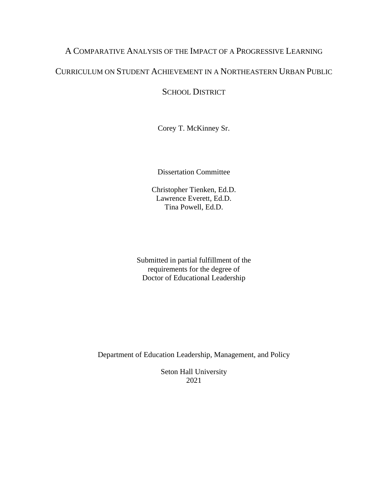### A COMPARATIVE ANALYSIS OF THE IMPACT OF A PROGRESSIVE LEARNING

## CURRICULUM ON STUDENT ACHIEVEMENT IN A NORTHEASTERN URBAN PUBLIC

## SCHOOL DISTRICT

Corey T. McKinney Sr.

Dissertation Committee

Christopher Tienken, Ed.D. Lawrence Everett, Ed.D. Tina Powell, Ed.D.

Submitted in partial fulfillment of the requirements for the degree of Doctor of Educational Leadership

Department of Education Leadership, Management, and Policy

Seton Hall University 2021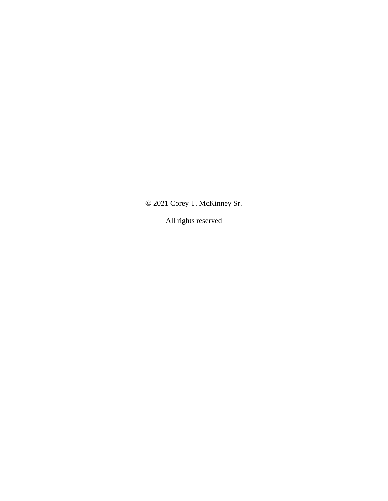© 2021 Corey T. McKinney Sr.

All rights reserved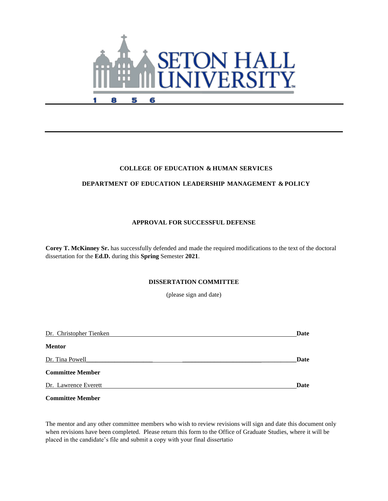

#### **COLLEGE OF EDUCATION & HUMAN SERVICES**

#### **DEPARTMENT OF EDUCATION LEADERSHIP MANAGEMENT & POLICY**

#### **APPROVAL FOR SUCCESSFUL DEFENSE**

**Corey T. McKinney Sr.** has successfully defended and made the required modifications to the text of the doctoral dissertation for the **Ed.D.** during this **Spring** Semester **2021**.

#### **DISSERTATION COMMITTEE**

(please sign and date)

| Dr. Christopher Tienken | Date |
|-------------------------|------|
| <b>Mentor</b>           |      |
| Dr. Tina Powell         | Date |
| <b>Committee Member</b> |      |
| Dr. Lawrence Everett    | Date |

**Committee Member** 

The mentor and any other committee members who wish to review revisions will sign and date this document only when revisions have been completed. Please return this form to the Office of Graduate Studies, where it will be placed in the candidate's file and submit a copy with your final dissertatio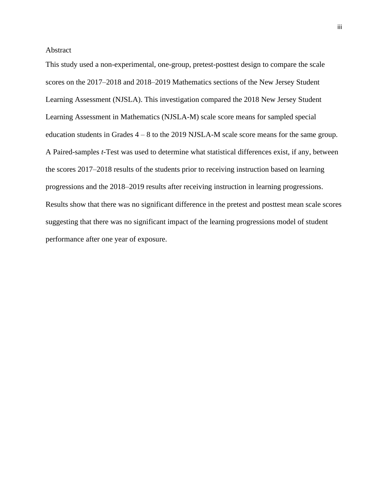#### Abstract

This study used a non-experimental, one-group, pretest-posttest design to compare the scale scores on the 2017–2018 and 2018–2019 Mathematics sections of the New Jersey Student Learning Assessment (NJSLA). This investigation compared the 2018 New Jersey Student Learning Assessment in Mathematics (NJSLA-M) scale score means for sampled special education students in Grades 4 – 8 to the 2019 NJSLA-M scale score means for the same group. A Paired-samples *t*-Test was used to determine what statistical differences exist, if any, between the scores 2017–2018 results of the students prior to receiving instruction based on learning progressions and the 2018–2019 results after receiving instruction in learning progressions. Results show that there was no significant difference in the pretest and posttest mean scale scores suggesting that there was no significant impact of the learning progressions model of student performance after one year of exposure.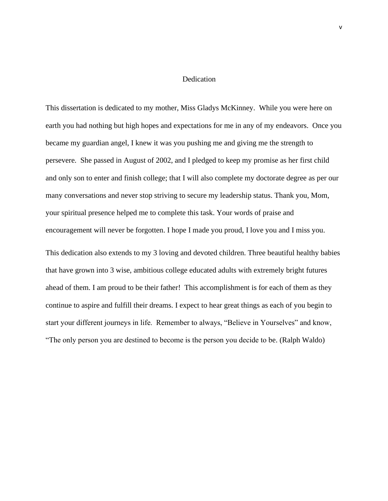#### **Dedication**

This dissertation is dedicated to my mother, Miss Gladys McKinney. While you were here on earth you had nothing but high hopes and expectations for me in any of my endeavors. Once you became my guardian angel, I knew it was you pushing me and giving me the strength to persevere. She passed in August of 2002, and I pledged to keep my promise as her first child and only son to enter and finish college; that I will also complete my doctorate degree as per our many conversations and never stop striving to secure my leadership status. Thank you, Mom, your spiritual presence helped me to complete this task. Your words of praise and encouragement will never be forgotten. I hope I made you proud, I love you and I miss you.

This dedication also extends to my 3 loving and devoted children. Three beautiful healthy babies that have grown into 3 wise, ambitious college educated adults with extremely bright futures ahead of them. I am proud to be their father! This accomplishment is for each of them as they continue to aspire and fulfill their dreams. I expect to hear great things as each of you begin to start your different journeys in life. Remember to always, "Believe in Yourselves" and know, "The only person you are destined to become is the person you decide to be. (Ralph Waldo)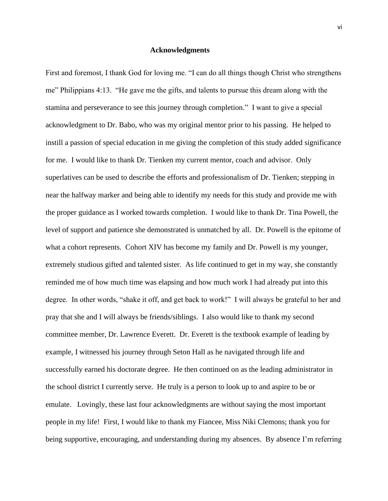#### **Acknowledgments**

First and foremost, I thank God for loving me. "I can do all things though Christ who strengthens me" Philippians 4:13. "He gave me the gifts, and talents to pursue this dream along with the stamina and perseverance to see this journey through completion." I want to give a special acknowledgment to Dr. Babo, who was my original mentor prior to his passing. He helped to instill a passion of special education in me giving the completion of this study added significance for me. I would like to thank Dr. Tienken my current mentor, coach and advisor. Only superlatives can be used to describe the efforts and professionalism of Dr. Tienken; stepping in near the halfway marker and being able to identify my needs for this study and provide me with the proper guidance as I worked towards completion. I would like to thank Dr. Tina Powell, the level of support and patience she demonstrated is unmatched by all. Dr. Powell is the epitome of what a cohort represents. Cohort XIV has become my family and Dr. Powell is my younger, extremely studious gifted and talented sister. As life continued to get in my way, she constantly reminded me of how much time was elapsing and how much work I had already put into this degree. In other words, "shake it off, and get back to work!" I will always be grateful to her and pray that she and I will always be friends/siblings. I also would like to thank my second committee member, Dr. Lawrence Everett. Dr. Everett is the textbook example of leading by example, I witnessed his journey through Seton Hall as he navigated through life and successfully earned his doctorate degree. He then continued on as the leading administrator in the school district I currently serve. He truly is a person to look up to and aspire to be or emulate. Lovingly, these last four acknowledgments are without saying the most important people in my life! First, I would like to thank my Fiancee, Miss Niki Clemons; thank you for being supportive, encouraging, and understanding during my absences. By absence I'm referring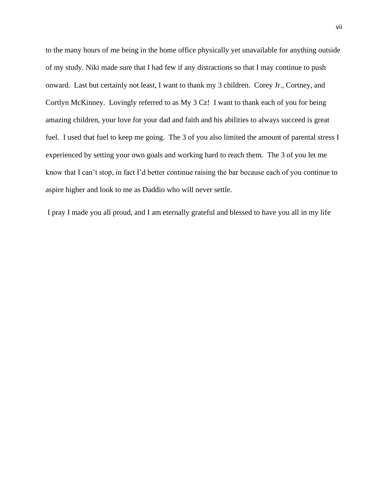to the many hours of me being in the home office physically yet unavailable for anything outside of my study. Niki made sure that I had few if any distractions so that I may continue to push onward. Last but certainly not least, I want to thank my 3 children. Corey Jr., Cortney, and Cortlyn McKinney. Lovingly referred to as My 3 Cz! I want to thank each of you for being amazing children, your love for your dad and faith and his abilities to always succeed is great fuel. I used that fuel to keep me going. The 3 of you also limited the amount of parental stress I experienced by setting your own goals and working hard to reach them. The 3 of you let me know that I can't stop, in fact I'd better continue raising the bar because each of you continue to aspire higher and look to me as Daddio who will never settle.

I pray I made you all proud, and I am eternally grateful and blessed to have you all in my life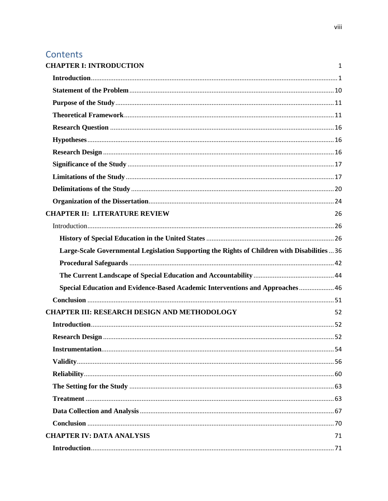# Contents

| <b>CHAPTER I: INTRODUCTION</b>                                                             | 1  |
|--------------------------------------------------------------------------------------------|----|
|                                                                                            |    |
|                                                                                            |    |
|                                                                                            |    |
|                                                                                            |    |
|                                                                                            |    |
|                                                                                            |    |
|                                                                                            |    |
|                                                                                            |    |
|                                                                                            |    |
|                                                                                            |    |
|                                                                                            |    |
| <b>CHAPTER II: LITERATURE REVIEW</b>                                                       | 26 |
|                                                                                            |    |
|                                                                                            |    |
| Large-Scale Governmental Legislation Supporting the Rights of Children with Disabilities36 |    |
|                                                                                            |    |
|                                                                                            |    |
| Special Education and Evidence-Based Academic Interventions and Approaches 46              |    |
|                                                                                            |    |
| <b>CHAPTER III: RESEARCH DESIGN AND METHODOLOGY</b>                                        | 52 |
|                                                                                            |    |
|                                                                                            |    |
|                                                                                            |    |
|                                                                                            |    |
|                                                                                            |    |
|                                                                                            |    |
|                                                                                            |    |
|                                                                                            |    |
|                                                                                            |    |
|                                                                                            |    |
| <b>CHAPTER IV: DATA ANALYSIS</b>                                                           | 71 |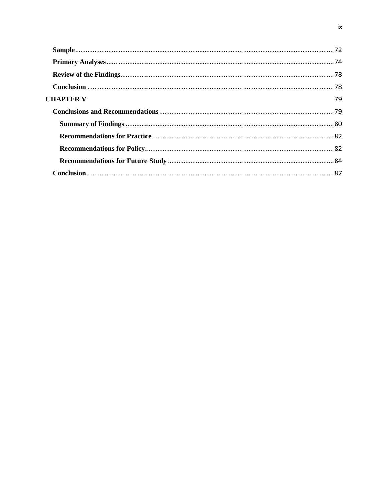| <b>CHAPTER V</b> | 79 |
|------------------|----|
|                  |    |
|                  |    |
|                  |    |
|                  |    |
|                  |    |
|                  |    |
|                  |    |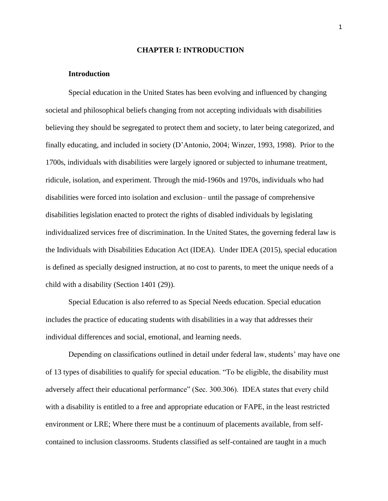#### **CHAPTER I: INTRODUCTION**

#### <span id="page-10-0"></span>**Introduction**

<span id="page-10-1"></span>Special education in the United States has been evolving and influenced by changing societal and philosophical beliefs changing from not accepting individuals with disabilities believing they should be segregated to protect them and society, to later being categorized, and finally educating, and included in society (D'Antonio, 2004; Winzer, 1993, 1998). Prior to the 1700s, individuals with disabilities were largely ignored or subjected to inhumane treatment, ridicule, isolation, and experiment. Through the mid-1960s and 1970s, individuals who had disabilities were forced into isolation and exclusion– until the passage of comprehensive disabilities legislation enacted to protect the rights of disabled individuals by legislating individualized services free of discrimination. In the United States, the governing federal law is the Individuals with Disabilities Education Act (IDEA). Under IDEA (2015), special education is defined as specially designed instruction, at no cost to parents, to meet the unique needs of a child with a disability (Section 1401 (29)).

Special Education is also referred to as Special Needs education. Special education includes the practice of educating students with disabilities in a way that addresses their individual differences and social, emotional, and learning needs.

Depending on classifications outlined in detail under federal law, students' may have one of 13 types of disabilities to qualify for special education. "To be eligible, the disability must adversely affect their educational performance" (Sec. 300.306). IDEA states that every child with a disability is entitled to a free and appropriate education or FAPE, in the least restricted environment or LRE; Where there must be a continuum of placements available, from selfcontained to inclusion classrooms. Students classified as self-contained are taught in a much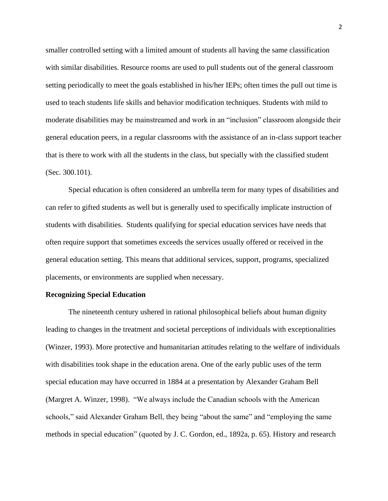smaller controlled setting with a limited amount of students all having the same classification with similar disabilities. Resource rooms are used to pull students out of the general classroom setting periodically to meet the goals established in his/her IEPs; often times the pull out time is used to teach students life skills and behavior modification techniques. Students with mild to moderate disabilities may be mainstreamed and work in an "inclusion" classroom alongside their general education peers, in a regular classrooms with the assistance of an in-class support teacher that is there to work with all the students in the class, but specially with the classified student (Sec. 300.101).

Special education is often considered an umbrella term for many types of disabilities and can refer to gifted students as well but is generally used to specifically implicate instruction of students with disabilities. Students qualifying for special education services have needs that often require support that sometimes exceeds the services usually offered or received in the general education setting. This means that additional services, support, programs, specialized placements, or environments are supplied when necessary.

#### **Recognizing Special Education**

The nineteenth century ushered in rational philosophical beliefs about human dignity leading to changes in the treatment and societal perceptions of individuals with exceptionalities (Winzer, 1993). More protective and humanitarian attitudes relating to the welfare of individuals with disabilities took shape in the education arena. One of the early public uses of the term special education may have occurred in 1884 at a presentation by Alexander Graham Bell (Margret A. Winzer, 1998). "We always include the Canadian schools with the American schools," said Alexander Graham Bell, they being "about the same" and "employing the same methods in special education" (quoted by J. C. Gordon, ed., 1892a, p. 65). History and research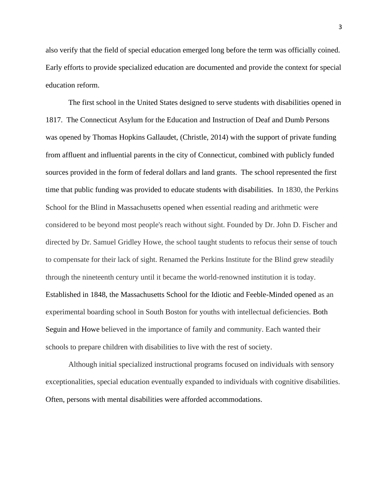also verify that the field of special education emerged long before the term was officially coined. Early efforts to provide specialized education are documented and provide the context for special education reform.

The first school in the United States designed to serve students with disabilities opened in 1817. The Connecticut Asylum for the Education and Instruction of Deaf and Dumb Persons was opened by Thomas Hopkins Gallaudet, (Christle, 2014) with the support of private funding from affluent and influential parents in the city of Connecticut, combined with publicly funded sources provided in the form of federal dollars and land grants. The school represented the first time that public funding was provided to educate students with disabilities. In 1830, the Perkins School for the Blind in Massachusetts opened when essential reading and arithmetic were considered to be beyond most people's reach without sight. Founded by Dr. John D. Fischer and directed by Dr. Samuel Gridley Howe, the school taught students to refocus their sense of touch to compensate for their lack of sight. Renamed the Perkins Institute for the Blind grew steadily through the nineteenth century until it became the world-renowned institution it is today. Established in 1848, the Massachusetts School for the Idiotic and Feeble-Minded opened as an experimental boarding school in South Boston for youths with intellectual deficiencies. Both Seguin and Howe believed in the importance of family and community. Each wanted their schools to prepare children with disabilities to live with the rest of society.

Although initial specialized instructional programs focused on individuals with sensory exceptionalities, special education eventually expanded to individuals with cognitive disabilities. Often, persons with mental disabilities were afforded accommodations.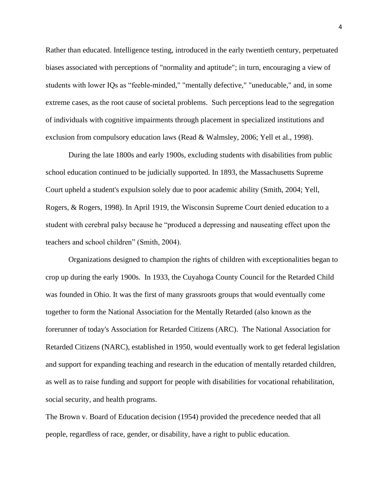Rather than educated. Intelligence testing, introduced in the early twentieth century, perpetuated biases associated with perceptions of "normality and aptitude"; in turn, encouraging a view of students with lower IQs as "feeble-minded," "mentally defective," "uneducable," and, in some extreme cases, as the root cause of societal problems. Such perceptions lead to the segregation of individuals with cognitive impairments through placement in specialized institutions and exclusion from compulsory education laws (Read & Walmsley, 2006; Yell et al., 1998).

During the late 1800s and early 1900s, excluding students with disabilities from public school education continued to be judicially supported. In 1893, the Massachusetts Supreme Court upheld a student's expulsion solely due to poor academic ability (Smith, 2004; Yell, Rogers, & Rogers, 1998). In April 1919, the Wisconsin Supreme Court denied education to a student with cerebral palsy because he "produced a depressing and nauseating effect upon the teachers and school children" (Smith, 2004).

Organizations designed to champion the rights of children with exceptionalities began to crop up during the early 1900s. In 1933, the Cuyahoga County Council for the Retarded Child was founded in Ohio. It was the first of many grassroots groups that would eventually come together to form the National Association for the Mentally Retarded (also known as the forerunner of today's Association for Retarded Citizens (ARC). The National Association for Retarded Citizens (NARC), established in 1950, would eventually work to get federal legislation and support for expanding teaching and research in the education of mentally retarded children, as well as to raise funding and support for people with disabilities for vocational rehabilitation, social security, and health programs.

The Brown v. Board of Education decision (1954) provided the precedence needed that all people, regardless of race, gender, or disability, have a right to public education.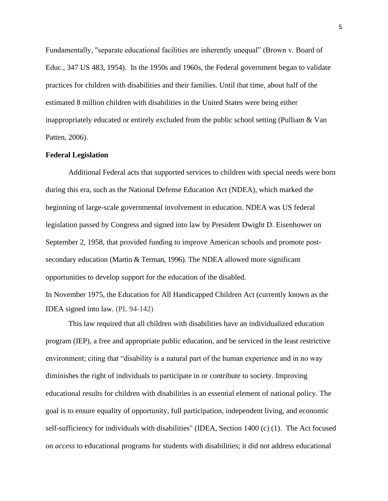Fundamentally, "separate educational facilities are inherently unequal" (Brown v. Board of Educ., 347 US 483, 1954). In the 1950s and 1960s, the Federal government began to validate practices for children with disabilities and their families. Until that time, about half of the estimated 8 million children with disabilities in the United States were being either inappropriately educated or entirely excluded from the public school setting (Pulliam & Van Patten, 2006).

#### **Federal Legislation**

Additional Federal acts that supported services to children with special needs were born during this era, such as the National Defense Education Act (NDEA), which marked the beginning of large-scale governmental involvement in education. NDEA was US federal legislation passed by Congress and signed into law by President Dwight D. Eisenhower on September 2, 1958, that provided funding to improve American schools and promote postsecondary education (Martin & Terman, 1996). The NDEA allowed more significant opportunities to develop support for the education of the disabled.

In November 1975, the Education for All Handicapped Children Act (currently known as the IDEA signed into law. (PL 94-142)

This law required that all children with disabilities have an individualized education program (IEP), a free and appropriate public education, and be serviced in the least restrictive environment; citing that "disability is a natural part of the human experience and in no way diminishes the right of individuals to participate in or contribute to society. Improving educational results for children with disabilities is an essential element of national policy. The goal is to ensure equality of opportunity, full participation, independent living, and economic self-sufficiency for individuals with disabilities" (IDEA, Section 1400 (c) (1). The Act focused on *access* to educational programs for students with disabilities; it did not address educational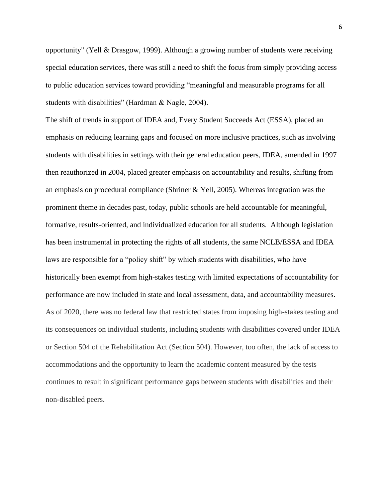opportunity" (Yell & Drasgow, 1999). Although a growing number of students were receiving special education services, there was still a need to shift the focus from simply providing access to public education services toward providing "meaningful and measurable programs for all students with disabilities" (Hardman & Nagle, 2004).

The shift of trends in support of IDEA and, Every Student Succeeds Act (ESSA), placed an emphasis on reducing learning gaps and focused on more inclusive practices, such as involving students with disabilities in settings with their general education peers, IDEA, amended in 1997 then reauthorized in 2004, placed greater emphasis on accountability and results, shifting from an emphasis on procedural compliance (Shriner & Yell, 2005). Whereas integration was the prominent theme in decades past, today, public schools are held accountable for meaningful, formative, results-oriented, and individualized education for all students. Although legislation has been instrumental in protecting the rights of all students, the same NCLB/ESSA and IDEA laws are responsible for a "policy shift" by which students with disabilities, who have historically been exempt from high-stakes testing with limited expectations of accountability for performance are now included in state and local assessment, data, and accountability measures. As of 2020, there was no federal law that restricted states from imposing high-stakes testing and its consequences on individual students, including students with disabilities covered under IDEA or Section 504 of the Rehabilitation Act (Section 504). However, too often, the lack of access to accommodations and the opportunity to learn the academic content measured by the tests continues to result in significant performance gaps between students with disabilities and their non-disabled peers.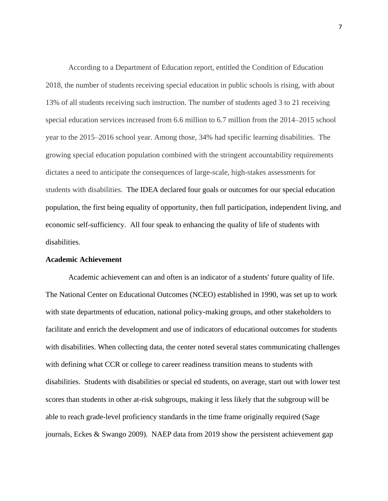According to a Department of Education report, entitled the Condition of Education 2018, the number of students receiving special education in public schools is rising, with about 13% of all students receiving such instruction. The number of students aged 3 to 21 receiving special education services increased from 6.6 million to 6.7 million from the 2014–2015 school year to the 2015–2016 school year. Among those, 34% had specific learning disabilities. The growing special education population combined with the stringent accountability requirements dictates a need to anticipate the consequences of large-scale, high-stakes assessments for students with disabilities. The IDEA declared four goals or outcomes for our special education population, the first being equality of opportunity, then full participation, independent living, and economic self-sufficiency. All four speak to enhancing the quality of life of students with disabilities.

#### **Academic Achievement**

Academic achievement can and often is an indicator of a students' future quality of life. The National Center on Educational Outcomes (NCEO) established in 1990, was set up to work with state departments of education, national policy-making groups, and other stakeholders to facilitate and enrich the development and use of indicators of educational outcomes for students with disabilities. When collecting data, the center noted several states communicating challenges with defining what CCR or college to career readiness transition means to students with disabilities. Students with disabilities or special ed students, on average, start out with lower test scores than students in other at-risk subgroups, making it less likely that the subgroup will be able to reach grade-level proficiency standards in the time frame originally required (Sage journals, Eckes & Swango 2009). NAEP data from 2019 show the persistent achievement gap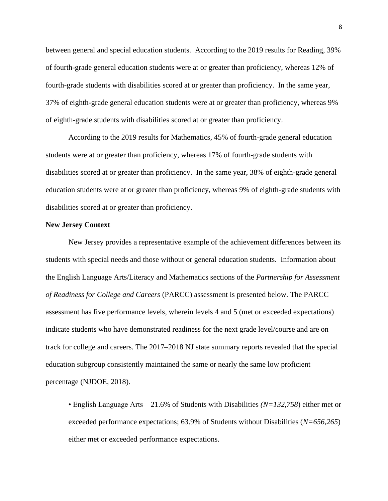between general and special education students. According to the 2019 results for Reading, 39% of fourth-grade general education students were at or greater than proficiency, whereas 12% of fourth-grade students with disabilities scored at or greater than proficiency. In the same year, 37% of eighth-grade general education students were at or greater than proficiency, whereas 9% of eighth-grade students with disabilities scored at or greater than proficiency.

According to the 2019 results for Mathematics, 45% of fourth-grade general education students were at or greater than proficiency, whereas 17% of fourth-grade students with disabilities scored at or greater than proficiency. In the same year, 38% of eighth-grade general education students were at or greater than proficiency, whereas 9% of eighth-grade students with disabilities scored at or greater than proficiency.

#### **New Jersey Context**

 New Jersey provides a representative example of the achievement differences between its students with special needs and those without or general education students. Information about the English Language Arts/Literacy and Mathematics sections of the *Partnership for Assessment of Readiness for College and Careers* (PARCC) assessment is presented below. The PARCC assessment has five performance levels, wherein levels 4 and 5 (met or exceeded expectations) indicate students who have demonstrated readiness for the next grade level/course and are on track for college and careers. The 2017–2018 NJ state summary reports revealed that the special education subgroup consistently maintained the same or nearly the same low proficient percentage (NJDOE, 2018).

• English Language Arts—21.6% of Students with Disabilities *(N=132,758*) either met or exceeded performance expectations; 63.9% of Students without Disabilities (*N=656,265*) either met or exceeded performance expectations.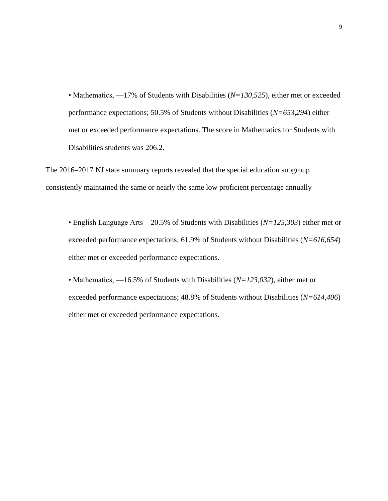• Mathematics,  $-17\%$  of Students with Disabilities (*N=130,525*), either met or exceeded performance expectations; 50.5% of Students without Disabilities (*N=653,294*) either met or exceeded performance expectations. The score in Mathematics for Students with Disabilities students was 206.2.

The 2016–2017 NJ state summary reports revealed that the special education subgroup consistently maintained the same or nearly the same low proficient percentage annually

• English Language Arts—20.5% of Students with Disabilities (*N=125,303*) either met or exceeded performance expectations; 61.9% of Students without Disabilities (*N=616,654*) either met or exceeded performance expectations.

• Mathematics, —16.5% of Students with Disabilities (*N=123,032*), either met or exceeded performance expectations; 48.8% of Students without Disabilities (*N=614,406*) either met or exceeded performance expectations.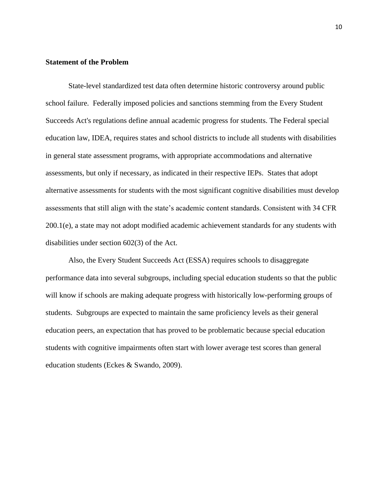#### <span id="page-19-0"></span>**Statement of the Problem**

State-level standardized test data often determine historic controversy around public school failure. Federally imposed policies and sanctions stemming from the Every Student Succeeds Act's regulations define annual academic progress for students. The Federal special education law, IDEA, requires states and school districts to include all students with disabilities in general state assessment programs, with appropriate accommodations and alternative assessments, but only if necessary, as indicated in their respective IEPs. States that adopt alternative assessments for students with the most significant cognitive disabilities must develop assessments that still align with the state's academic content standards. Consistent with 34 CFR 200.1(e), a state may not adopt modified academic achievement standards for any students with disabilities under section 602(3) of the Act.

Also, the Every Student Succeeds Act (ESSA) requires schools to disaggregate performance data into several subgroups, including special education students so that the public will know if schools are making adequate progress with historically low-performing groups of students. Subgroups are expected to maintain the same proficiency levels as their general education peers, an expectation that has proved to be problematic because special education students with cognitive impairments often start with lower average test scores than general education students (Eckes & Swando, 2009).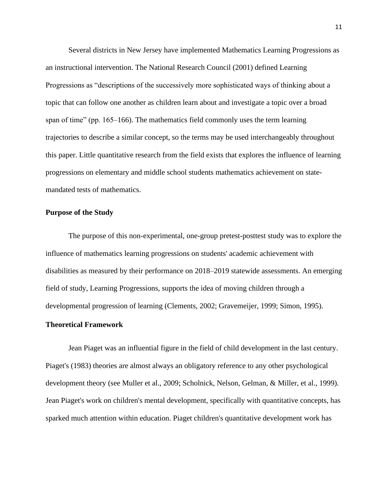Several districts in New Jersey have implemented Mathematics Learning Progressions as an instructional intervention. The National Research Council (2001) defined Learning Progressions as "descriptions of the successively more sophisticated ways of thinking about a topic that can follow one another as children learn about and investigate a topic over a broad span of time" (pp. 165–166). The mathematics field commonly uses the term learning trajectories to describe a similar concept, so the terms may be used interchangeably throughout this paper. Little quantitative research from the field exists that explores the influence of learning progressions on elementary and middle school students mathematics achievement on statemandated tests of mathematics.

#### <span id="page-20-0"></span>**Purpose of the Study**

The purpose of this non-experimental, one-group pretest-posttest study was to explore the influence of mathematics learning progressions on students' academic achievement with disabilities as measured by their performance on 2018–2019 statewide assessments. An emerging field of study, Learning Progressions, supports the idea of moving children through a developmental progression of learning (Clements, 2002; Gravemeijer, 1999; Simon, 1995).

#### <span id="page-20-1"></span>**Theoretical Framework**

Jean Piaget was an influential figure in the field of child development in the last century. Piaget's (1983) theories are almost always an obligatory reference to any other psychological development theory (see Muller et al., 2009; Scholnick, Nelson, Gelman, & Miller, et al., 1999). Jean Piaget's work on children's mental development, specifically with quantitative concepts, has sparked much attention within education. Piaget children's quantitative development work has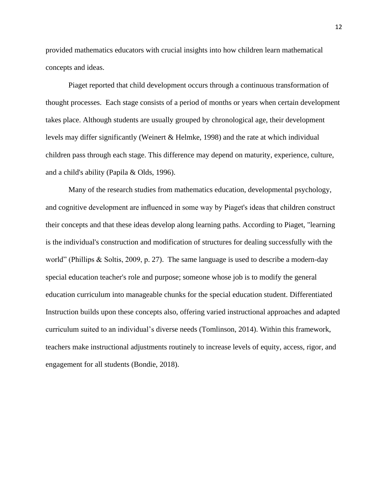provided mathematics educators with crucial insights into how children learn mathematical concepts and ideas.

Piaget reported that child development occurs through a continuous transformation of thought processes. Each stage consists of a period of months or years when certain development takes place. Although students are usually grouped by chronological age, their development levels may differ significantly (Weinert & Helmke, 1998) and the rate at which individual children pass through each stage. This difference may depend on maturity, experience, culture, and a child's ability (Papila & Olds, 1996).

Many of the research studies from mathematics education, developmental psychology, and cognitive development are influenced in some way by Piaget's ideas that children construct their concepts and that these ideas develop along learning paths. According to Piaget, "learning is the individual's construction and modification of structures for dealing successfully with the world" (Phillips & Soltis, 2009, p. 27). The same language is used to describe a modern-day special education teacher's role and purpose; someone whose job is to modify the general education curriculum into manageable chunks for the special education student. Differentiated Instruction builds upon these concepts also, offering varied instructional approaches and adapted curriculum suited to an individual's diverse needs (Tomlinson, 2014). Within this framework, teachers make instructional adjustments routinely to increase levels of equity, access, rigor, and engagement for all students (Bondie, 2018).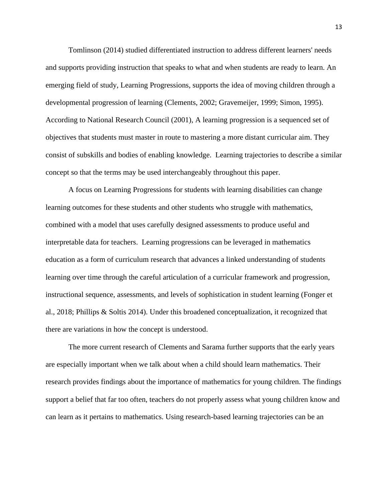Tomlinson (2014) studied differentiated instruction to address different learners' needs and supports providing instruction that speaks to what and when students are ready to learn. An emerging field of study, Learning Progressions, supports the idea of moving children through a developmental progression of learning (Clements, 2002; Gravemeijer, 1999; Simon, 1995). According to National Research Council (2001), A learning progression is a sequenced set of objectives that students must master in route to mastering a more distant curricular aim. They consist of subskills and bodies of enabling knowledge. Learning trajectories to describe a similar concept so that the terms may be used interchangeably throughout this paper.

A focus on Learning Progressions for students with learning disabilities can change learning outcomes for these students and other students who struggle with mathematics, combined with a model that uses carefully designed assessments to produce useful and interpretable data for teachers. Learning progressions can be leveraged in mathematics education as a form of curriculum research that advances a linked understanding of students learning over time through the careful articulation of a curricular framework and progression, instructional sequence, assessments, and levels of sophistication in student learning (Fonger et al., 2018; Phillips & Soltis 2014). Under this broadened conceptualization, it recognized that there are variations in how the concept is understood.

The more current research of Clements and Sarama further supports that the early years are especially important when we talk about when a child should learn mathematics. Their research provides findings about the importance of mathematics for young children. The findings support a belief that far too often, teachers do not properly assess what young children know and can learn as it pertains to mathematics. Using research-based learning trajectories can be an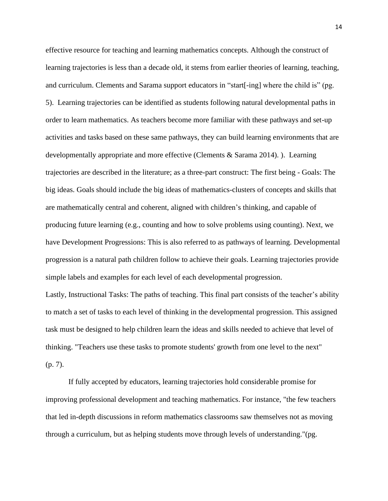effective resource for teaching and learning mathematics concepts. Although the construct of learning trajectories is less than a decade old, it stems from earlier theories of learning, teaching, and curriculum. Clements and Sarama support educators in "start[-ing] where the child is" (pg. 5). Learning trajectories can be identified as students following natural developmental paths in order to learn mathematics. As teachers become more familiar with these pathways and set-up activities and tasks based on these same pathways, they can build learning environments that are developmentally appropriate and more effective (Clements & Sarama 2014). ). Learning trajectories are described in the literature; as a three-part construct: The first being - Goals: The big ideas. Goals should include the big ideas of mathematics-clusters of concepts and skills that are mathematically central and coherent, aligned with children's thinking, and capable of producing future learning (e.g., counting and how to solve problems using counting). Next, we have Development Progressions: This is also referred to as pathways of learning. Developmental progression is a natural path children follow to achieve their goals. Learning trajectories provide simple labels and examples for each level of each developmental progression.

Lastly, Instructional Tasks: The paths of teaching. This final part consists of the teacher's ability to match a set of tasks to each level of thinking in the developmental progression. This assigned task must be designed to help children learn the ideas and skills needed to achieve that level of thinking. "Teachers use these tasks to promote students' growth from one level to the next" (p. 7).

If fully accepted by educators, learning trajectories hold considerable promise for improving professional development and teaching mathematics. For instance, "the few teachers that led in-depth discussions in reform mathematics classrooms saw themselves not as moving through a curriculum, but as helping students move through levels of understanding."(pg.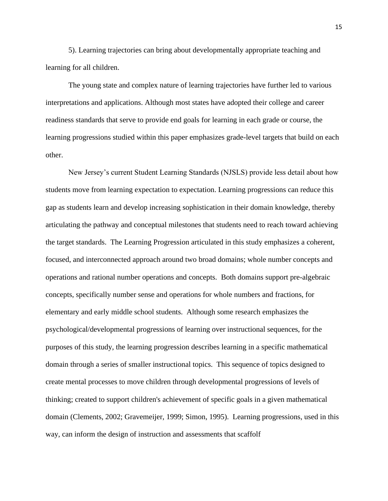5). Learning trajectories can bring about developmentally appropriate teaching and learning for all children.

The young state and complex nature of learning trajectories have further led to various interpretations and applications. Although most states have adopted their college and career readiness standards that serve to provide end goals for learning in each grade or course, the learning progressions studied within this paper emphasizes grade-level targets that build on each other.

New Jersey's current Student Learning Standards (NJSLS) provide less detail about how students move from learning expectation to expectation. Learning progressions can reduce this gap as students learn and develop increasing sophistication in their domain knowledge, thereby articulating the pathway and conceptual milestones that students need to reach toward achieving the target standards. The Learning Progression articulated in this study emphasizes a coherent, focused, and interconnected approach around two broad domains; whole number concepts and operations and rational number operations and concepts. Both domains support pre-algebraic concepts, specifically number sense and operations for whole numbers and fractions, for elementary and early middle school students. Although some research emphasizes the psychological/developmental progressions of learning over instructional sequences, for the purposes of this study, the learning progression describes learning in a specific mathematical domain through a series of smaller instructional topics. This sequence of topics designed to create mental processes to move children through developmental progressions of levels of thinking; created to support children's achievement of specific goals in a given mathematical domain (Clements, 2002; Gravemeijer, 1999; Simon, 1995). Learning progressions, used in this way, can inform the design of instruction and assessments that scaffolf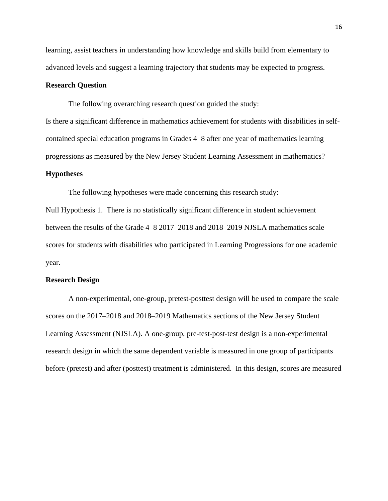learning, assist teachers in understanding how knowledge and skills build from elementary to advanced levels and suggest a learning trajectory that students may be expected to progress.

#### <span id="page-25-0"></span>**Research Question**

The following overarching research question guided the study:

Is there a significant difference in mathematics achievement for students with disabilities in selfcontained special education programs in Grades 4–8 after one year of mathematics learning progressions as measured by the New Jersey Student Learning Assessment in mathematics?

#### <span id="page-25-1"></span>**Hypotheses**

The following hypotheses were made concerning this research study:

Null Hypothesis 1. There is no statistically significant difference in student achievement between the results of the Grade 4–8 2017–2018 and 2018–2019 NJSLA mathematics scale scores for students with disabilities who participated in Learning Progressions for one academic year.

#### <span id="page-25-2"></span>**Research Design**

A non-experimental, one-group, pretest-posttest design will be used to compare the scale scores on the 2017–2018 and 2018–2019 Mathematics sections of the New Jersey Student Learning Assessment (NJSLA). A one-group, pre-test-post-test design is a non-experimental research design in which the same dependent variable is measured in one group of participants before (pretest) and after (posttest) treatment is administered. In this design, scores are measured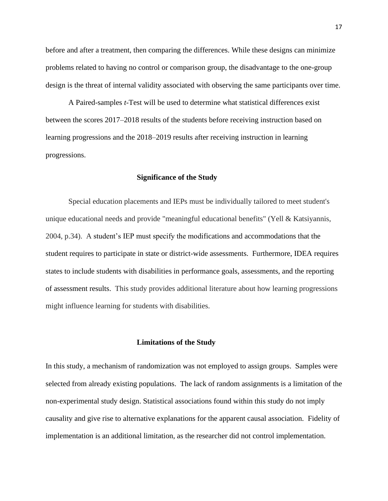before and after a treatment, then comparing the differences. While these designs can minimize problems related to having no control or comparison group, the disadvantage to the one-group design is the threat of internal validity associated with observing the same participants over time.

A Paired-samples *t*-Test will be used to determine what statistical differences exist between the scores 2017–2018 results of the students before receiving instruction based on learning progressions and the 2018–2019 results after receiving instruction in learning progressions.

#### **Significance of the Study**

<span id="page-26-0"></span>Special education placements and IEPs must be individually tailored to meet student's unique educational needs and provide "meaningful educational benefits" (Yell & Katsiyannis, 2004, p.34). A student's IEP must specify the modifications and accommodations that the student requires to participate in state or district-wide assessments. Furthermore, IDEA requires states to include students with disabilities in performance goals, assessments, and the reporting of assessment results. This study provides additional literature about how learning progressions might influence learning for students with disabilities.

#### **Limitations of the Study**

<span id="page-26-1"></span>In this study, a mechanism of randomization was not employed to assign groups. Samples were selected from already existing populations. The lack of random assignments is a limitation of the non-experimental study design. Statistical associations found within this study do not imply causality and give rise to alternative explanations for the apparent causal association. Fidelity of implementation is an additional limitation, as the researcher did not control implementation.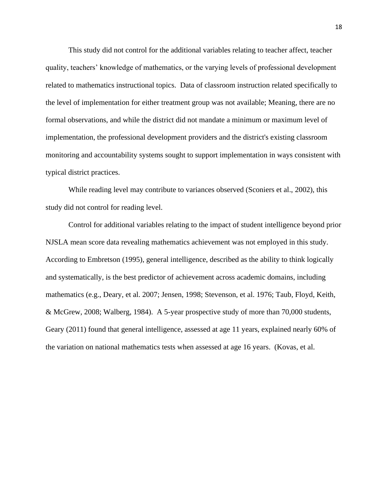This study did not control for the additional variables relating to teacher affect, teacher quality, teachers' knowledge of mathematics, or the varying levels of professional development related to mathematics instructional topics. Data of classroom instruction related specifically to the level of implementation for either treatment group was not available; Meaning, there are no formal observations, and while the district did not mandate a minimum or maximum level of implementation, the professional development providers and the district's existing classroom monitoring and accountability systems sought to support implementation in ways consistent with typical district practices.

While reading level may contribute to variances observed (Sconiers et al., 2002), this study did not control for reading level.

Control for additional variables relating to the impact of student intelligence beyond prior NJSLA mean score data revealing mathematics achievement was not employed in this study. According to Embretson (1995), general intelligence, described as the ability to think logically and systematically, is the best predictor of achievement across academic domains, including mathematics (e.g., Deary, et al. 2007; Jensen, 1998; Stevenson, et al. 1976; Taub, Floyd, Keith, & McGrew, 2008; Walberg, 1984). A 5-year prospective study of more than 70,000 students, Geary (2011) found that general intelligence, assessed at age 11 years, explained nearly 60% of the variation on national mathematics tests when assessed at age 16 years. (Kovas, et al.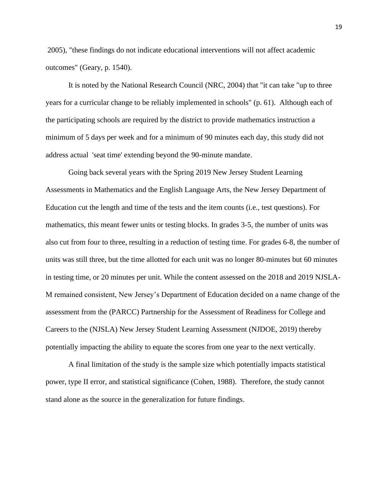2005), "these findings do not indicate educational interventions will not affect academic outcomes" (Geary, p. 1540).

It is noted by the National Research Council (NRC, 2004) that "it can take "up to three years for a curricular change to be reliably implemented in schools" (p. 61). Although each of the participating schools are required by the district to provide mathematics instruction a minimum of 5 days per week and for a minimum of 90 minutes each day, this study did not address actual 'seat time' extending beyond the 90-minute mandate.

Going back several years with the Spring 2019 New Jersey Student Learning Assessments in Mathematics and the English Language Arts, the New Jersey Department of Education cut the length and time of the tests and the item counts (i.e., test questions). For mathematics, this meant fewer units or testing blocks. In grades 3-5, the number of units was also cut from four to three, resulting in a reduction of testing time. For grades 6-8, the number of units was still three, but the time allotted for each unit was no longer 80-minutes but 60 minutes in testing time, or 20 minutes per unit. While the content assessed on the 2018 and 2019 NJSLA-M remained consistent, New Jersey's Department of Education decided on a name change of the assessment from the (PARCC) Partnership for the Assessment of Readiness for College and Careers to the (NJSLA) New Jersey Student Learning Assessment (NJDOE, 2019) thereby potentially impacting the ability to equate the scores from one year to the next vertically.

A final limitation of the study is the sample size which potentially impacts statistical power, type II error, and statistical significance (Cohen, 1988). Therefore, the study cannot stand alone as the source in the generalization for future findings.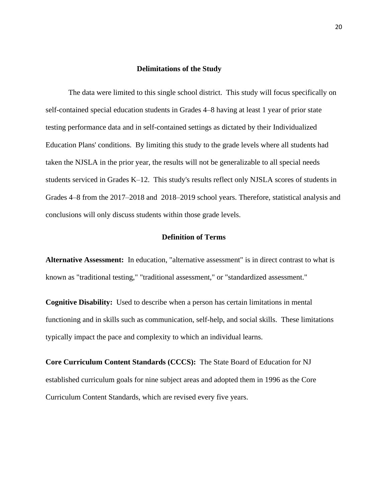#### **Delimitations of the Study**

<span id="page-29-0"></span>The data were limited to this single school district. This study will focus specifically on self-contained special education students in Grades 4–8 having at least 1 year of prior state testing performance data and in self-contained settings as dictated by their Individualized Education Plans' conditions. By limiting this study to the grade levels where all students had taken the NJSLA in the prior year, the results will not be generalizable to all special needs students serviced in Grades K–12. This study's results reflect only NJSLA scores of students in Grades 4–8 from the 2017–2018 and 2018–2019 school years. Therefore, statistical analysis and conclusions will only discuss students within those grade levels.

#### **Definition of Terms**

**Alternative Assessment:** In education, "alternative assessment" is in direct contrast to what is known as "traditional testing," "traditional assessment," or "standardized assessment."

**Cognitive Disability:** Used to describe when a person has certain limitations in mental functioning and in skills such as communication, self-help, and social skills. These limitations typically impact the pace and complexity to which an individual learns.

**Core Curriculum Content Standards (CCCS):** The State Board of Education for NJ established curriculum goals for nine subject areas and adopted them in 1996 as the Core Curriculum Content Standards, which are revised every five years.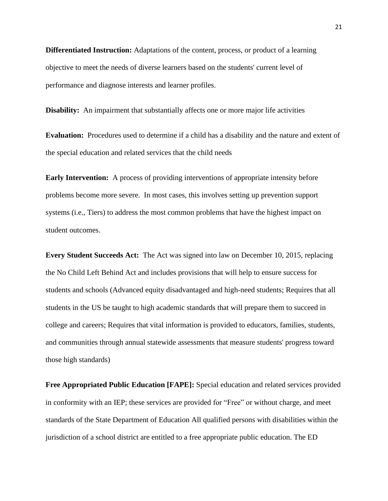**Differentiated Instruction:** Adaptations of the content, process, or product of a learning objective to meet the needs of diverse learners based on the students' current level of performance and diagnose interests and learner profiles.

**Disability:** An impairment that substantially affects one or more major life activities

**Evaluation:** Procedures used to determine if a child has a disability and the nature and extent of the special education and related services that the child needs

**Early Intervention:** A process of providing interventions of appropriate intensity before problems become more severe. In most cases, this involves setting up prevention support systems (i.e., Tiers) to address the most common problems that have the highest impact on student outcomes.

**Every Student Succeeds Act:** The Act was signed into law on December 10, 2015, replacing the No Child Left Behind Act and includes provisions that will help to ensure success for students and schools (Advanced equity disadvantaged and high-need students; Requires that all students in the US be taught to high academic standards that will prepare them to succeed in college and careers; Requires that vital information is provided to educators, families, students, and communities through annual statewide assessments that measure students' progress toward those high standards)

**Free Appropriated Public Education [FAPE]:** Special education and related services provided in conformity with an IEP; these services are provided for "Free" or without charge, and meet standards of the State Department of Education All qualified persons with disabilities within the jurisdiction of a school district are entitled to a free appropriate public education. The ED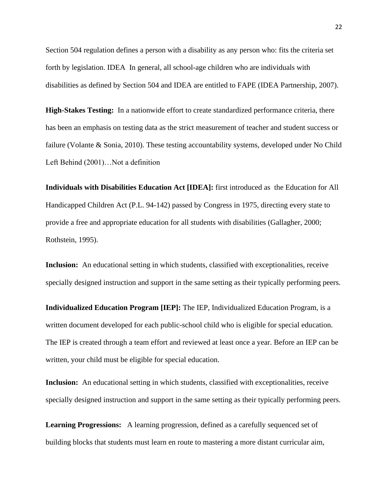Section 504 regulation defines a person with a disability as any person who: fits the criteria set forth by legislation. IDEA In general, all school-age children who are individuals with disabilities as defined by Section 504 and IDEA are entitled to FAPE (IDEA Partnership, 2007).

**High-Stakes Testing:** In a nationwide effort to create standardized performance criteria, there has been an emphasis on testing data as the strict measurement of teacher and student success or failure (Volante & Sonia, 2010). These testing accountability systems, developed under No Child Left Behind (2001)…Not a definition

**Individuals with Disabilities Education Act [IDEA]:** first introduced as the Education for All Handicapped Children Act (P.L. 94-142) passed by Congress in 1975, directing every state to provide a free and appropriate education for all students with disabilities (Gallagher, 2000; Rothstein, 1995).

**Inclusion:** An educational setting in which students, classified with exceptionalities, receive specially designed instruction and support in the same setting as their typically performing peers.

**Individualized Education Program [IEP]:** The IEP, Individualized Education Program, is a written document developed for each public-school child who is eligible for special education. The IEP is created through a team effort and reviewed at least once a year. Before an IEP can be written, your child must be eligible for special education.

**Inclusion:** An educational setting in which students, classified with exceptionalities, receive specially designed instruction and support in the same setting as their typically performing peers.

**Learning Progressions:** A learning progression, defined as a carefully sequenced set of building blocks that students must learn en route to mastering a more distant curricular aim,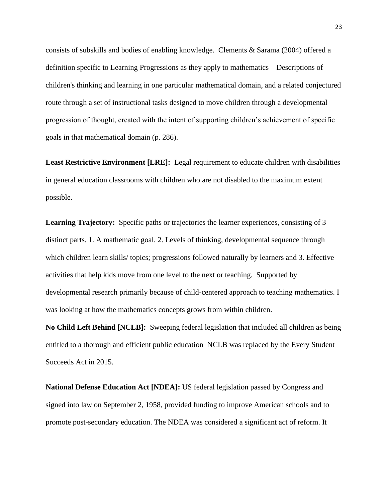consists of subskills and bodies of enabling knowledge. Clements & Sarama (2004) offered a definition specific to Learning Progressions as they apply to mathematics—Descriptions of children's thinking and learning in one particular mathematical domain, and a related conjectured route through a set of instructional tasks designed to move children through a developmental progression of thought, created with the intent of supporting children's achievement of specific goals in that mathematical domain (p. 286).

**Least Restrictive Environment [LRE]:** Legal requirement to educate children with disabilities in general education classrooms with children who are not disabled to the maximum extent possible.

**Learning Trajectory:** Specific paths or trajectories the learner experiences, consisting of 3 distinct parts. 1. A mathematic goal. 2. Levels of thinking, developmental sequence through which children learn skills/ topics; progressions followed naturally by learners and 3. Effective activities that help kids move from one level to the next or teaching. Supported by developmental research primarily because of child-centered approach to teaching mathematics. I was looking at how the mathematics concepts grows from within children.

**No Child Left Behind [NCLB]:** Sweeping federal legislation that included all children as being entitled to a thorough and efficient public education NCLB was replaced by the Every Student Succeeds Act in 2015.

**National Defense Education Act [NDEA]:** US federal legislation passed by Congress and signed into law on September 2, 1958, provided funding to improve American schools and to promote post-secondary education. The NDEA was considered a significant act of reform. It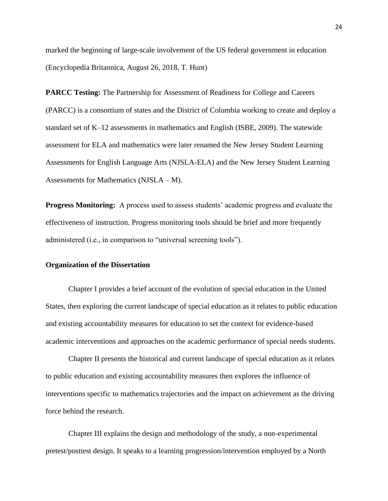marked the beginning of large-scale involvement of the US federal government in education (Encyclopedia Britannica, August 26, 2018, T. Hunt)

**PARCC Testing:** The Partnership for Assessment of Readiness for College and Careers (PARCC) is a consortium of states and the District of Columbia working to create and deploy a standard set of K–12 assessments in mathematics and English (ISBE, 2009). The statewide assessment for ELA and mathematics were later renamed the New Jersey Student Learning Assessments for English Language Arts (NJSLA-ELA) and the New Jersey Student Learning Assessments for Mathematics (NJSLA – M).

**Progress Monitoring:** A process used to assess students' academic progress and evaluate the effectiveness of instruction. Progress monitoring tools should be brief and more frequently administered (i.e., in comparison to "universal screening tools").

#### <span id="page-33-0"></span>**Organization of the Dissertation**

Chapter I provides a brief account of the evolution of special education in the United States, then exploring the current landscape of special education as it relates to public education and existing accountability measures for education to set the context for evidence-based academic interventions and approaches on the academic performance of special needs students.

Chapter II presents the historical and current landscape of special education as it relates to public education and existing accountability measures then explores the influence of interventions specific to mathematics trajectories and the impact on achievement as the driving force behind the research.

Chapter III explains the design and methodology of the study, a non-experimental pretest/posttest design. It speaks to a learning progression/intervention employed by a North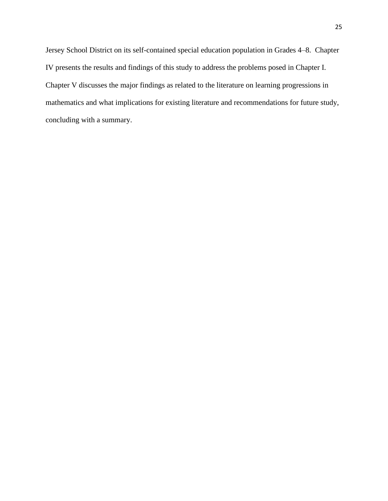Jersey School District on its self-contained special education population in Grades 4–8. Chapter IV presents the results and findings of this study to address the problems posed in Chapter I. Chapter V discusses the major findings as related to the literature on learning progressions in mathematics and what implications for existing literature and recommendations for future study, concluding with a summary.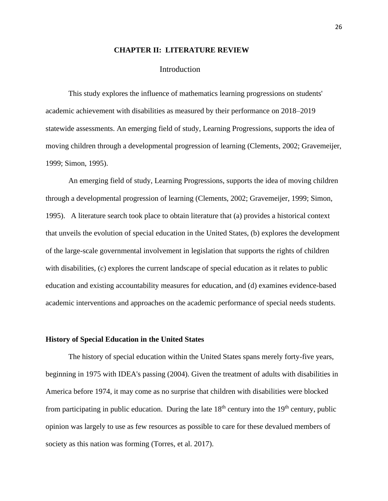#### **CHAPTER II: LITERATURE REVIEW**

#### Introduction

<span id="page-35-1"></span><span id="page-35-0"></span>This study explores the influence of mathematics learning progressions on students' academic achievement with disabilities as measured by their performance on 2018–2019 statewide assessments. An emerging field of study, Learning Progressions, supports the idea of moving children through a developmental progression of learning (Clements, 2002; Gravemeijer, 1999; Simon, 1995).

An emerging field of study, Learning Progressions, supports the idea of moving children through a developmental progression of learning (Clements, 2002; Gravemeijer, 1999; Simon, 1995). A literature search took place to obtain literature that (a) provides a historical context that unveils the evolution of special education in the United States, (b) explores the development of the large-scale governmental involvement in legislation that supports the rights of children with disabilities, (c) explores the current landscape of special education as it relates to public education and existing accountability measures for education, and (d) examines evidence-based academic interventions and approaches on the academic performance of special needs students.

#### <span id="page-35-2"></span>**History of Special Education in the United States**

The history of special education within the United States spans merely forty-five years, beginning in 1975 with IDEA's passing (2004). Given the treatment of adults with disabilities in America before 1974, it may come as no surprise that children with disabilities were blocked from participating in public education. During the late  $18<sup>th</sup>$  century into the  $19<sup>th</sup>$  century, public opinion was largely to use as few resources as possible to care for these devalued members of society as this nation was forming (Torres, et al. 2017).

26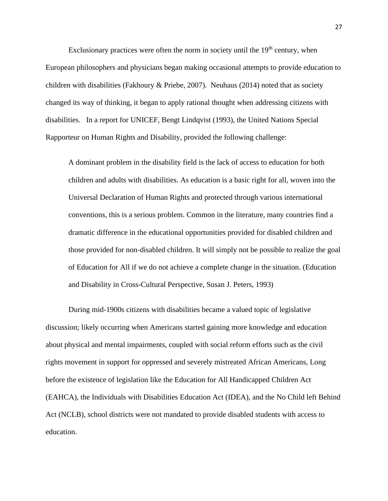Exclusionary practices were often the norm in society until the  $19<sup>th</sup>$  century, when European philosophers and physicians began making occasional attempts to provide education to children with disabilities (Fakhoury & Priebe, 2007). Neuhaus (2014) noted that as society changed its way of thinking, it began to apply rational thought when addressing citizens with disabilities. In a report for UNICEF, Bengt Lindqvist (1993), the United Nations Special Rapporteur on Human Rights and Disability, provided the following challenge:

A dominant problem in the disability field is the lack of access to education for both children and adults with disabilities. As education is a basic right for all, woven into the Universal Declaration of Human Rights and protected through various international conventions, this is a serious problem. Common in the literature, many countries find a dramatic difference in the educational opportunities provided for disabled children and those provided for non-disabled children. It will simply not be possible to realize the goal of Education for All if we do not achieve a complete change in the situation. (Education and Disability in Cross-Cultural Perspective, Susan J. Peters, 1993)

During mid-1900s citizens with disabilities became a valued topic of legislative discussion; likely occurring when Americans started gaining more knowledge and education about physical and mental impairments, coupled with social reform efforts such as the civil rights movement in support for oppressed and severely mistreated African Americans, Long before the existence of legislation like the Education for All Handicapped Children Act (EAHCA), the Individuals with Disabilities Education Act (IDEA), and the No Child left Behind Act (NCLB), school districts were not mandated to provide disabled students with access to education.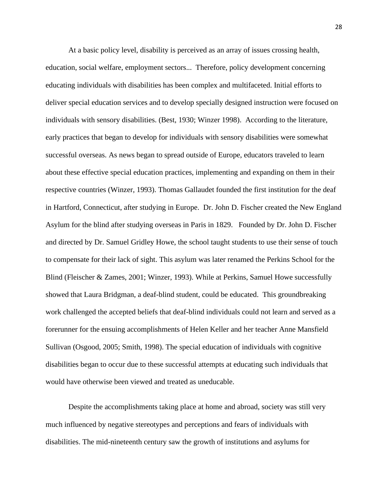At a basic policy level, disability is perceived as an array of issues crossing health, education, social welfare, employment sectors... Therefore, policy development concerning educating individuals with disabilities has been complex and multifaceted. Initial efforts to deliver special education services and to develop specially designed instruction were focused on individuals with sensory disabilities. (Best, 1930; Winzer 1998). According to the literature, early practices that began to develop for individuals with sensory disabilities were somewhat successful overseas. As news began to spread outside of Europe, educators traveled to learn about these effective special education practices, implementing and expanding on them in their respective countries (Winzer, 1993). Thomas Gallaudet founded the first institution for the deaf in Hartford, Connecticut, after studying in Europe. Dr. John D. Fischer created the New England Asylum for the blind after studying overseas in Paris in 1829. Founded by Dr. John D. Fischer and directed by Dr. Samuel Gridley Howe, the school taught students to use their sense of touch to compensate for their lack of sight. This asylum was later renamed the Perkins School for the Blind (Fleischer & Zames, 2001; Winzer, 1993). While at Perkins, Samuel Howe successfully showed that Laura Bridgman, a deaf-blind student, could be educated. This groundbreaking work challenged the accepted beliefs that deaf-blind individuals could not learn and served as a forerunner for the ensuing accomplishments of Helen Keller and her teacher Anne Mansfield Sullivan (Osgood, 2005; Smith, 1998). The special education of individuals with cognitive disabilities began to occur due to these successful attempts at educating such individuals that would have otherwise been viewed and treated as uneducable.

Despite the accomplishments taking place at home and abroad, society was still very much influenced by negative stereotypes and perceptions and fears of individuals with disabilities. The mid-nineteenth century saw the growth of institutions and asylums for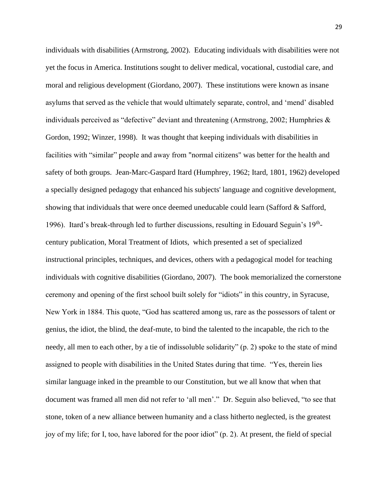individuals with disabilities (Armstrong, 2002). Educating individuals with disabilities were not yet the focus in America. Institutions sought to deliver medical, vocational, custodial care, and moral and religious development (Giordano, 2007). These institutions were known as insane asylums that served as the vehicle that would ultimately separate, control, and 'mend' disabled individuals perceived as "defective" deviant and threatening (Armstrong, 2002; Humphries & Gordon, 1992; Winzer, 1998). It was thought that keeping individuals with disabilities in facilities with "similar" people and away from "normal citizens" was better for the health and safety of both groups. Jean-Marc-Gaspard Itard (Humphrey, 1962; Itard, 1801, 1962) developed a specially designed pedagogy that enhanced his subjects' language and cognitive development, showing that individuals that were once deemed uneducable could learn (Safford  $\&$  Safford, 1996). Itard's break-through led to further discussions, resulting in Edouard Seguin's 19thcentury publication, Moral Treatment of Idiots, which presented a set of specialized instructional principles, techniques, and devices, others with a pedagogical model for teaching individuals with cognitive disabilities (Giordano, 2007). The book memorialized the cornerstone ceremony and opening of the first school built solely for "idiots" in this country, in Syracuse, New York in 1884. This quote, "God has scattered among us, rare as the possessors of talent or genius, the idiot, the blind, the deaf-mute, to bind the talented to the incapable, the rich to the needy, all men to each other, by a tie of indissoluble solidarity" (p. 2) spoke to the state of mind assigned to people with disabilities in the United States during that time. "Yes, therein lies similar language inked in the preamble to our Constitution, but we all know that when that document was framed all men did not refer to 'all men'." Dr. Seguin also believed, "to see that stone, token of a new alliance between humanity and a class hitherto neglected, is the greatest joy of my life; for I, too, have labored for the poor idiot" (p. 2). At present, the field of special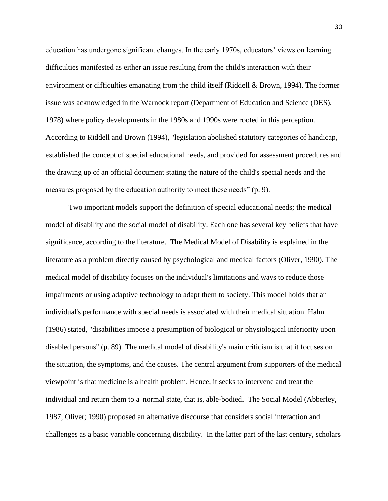education has undergone significant changes. In the early 1970s, educators' views on learning difficulties manifested as either an issue resulting from the child's interaction with their environment or difficulties emanating from the child itself (Riddell & Brown, 1994). The former issue was acknowledged in the Warnock report (Department of Education and Science (DES), 1978) where policy developments in the 1980s and 1990s were rooted in this perception. According to Riddell and Brown (1994), "legislation abolished statutory categories of handicap, established the concept of special educational needs, and provided for assessment procedures and the drawing up of an official document stating the nature of the child's special needs and the measures proposed by the education authority to meet these needs" (p. 9).

Two important models support the definition of special educational needs; the medical model of disability and the social model of disability. Each one has several key beliefs that have significance, according to the literature. The Medical Model of Disability is explained in the literature as a problem directly caused by psychological and medical factors (Oliver, 1990). The medical model of disability focuses on the individual's limitations and ways to reduce those impairments or using adaptive technology to adapt them to society. This model holds that an individual's performance with special needs is associated with their medical situation. Hahn (1986) stated, "disabilities impose a presumption of biological or physiological inferiority upon disabled persons" (p. 89). The medical model of disability's main criticism is that it focuses on the situation, the symptoms, and the causes. The central argument from supporters of the medical viewpoint is that medicine is a health problem. Hence, it seeks to intervene and treat the individual and return them to a 'normal state, that is, able-bodied. The Social Model (Abberley, 1987; Oliver; 1990) proposed an alternative discourse that considers social interaction and challenges as a basic variable concerning disability. In the latter part of the last century, scholars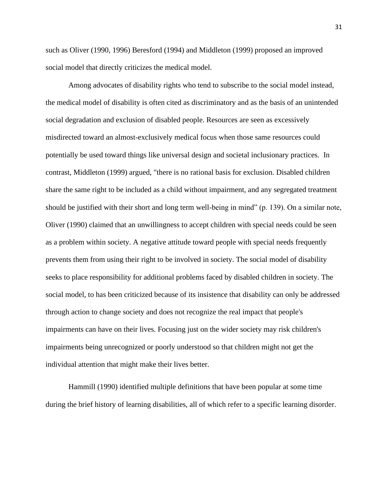such as Oliver (1990, 1996) Beresford (1994) and Middleton (1999) proposed an improved social model that directly criticizes the medical model.

Among advocates of disability rights who tend to subscribe to the social model instead, the medical model of disability is often cited as discriminatory and as the basis of an unintended social degradation and exclusion of disabled people. Resources are seen as excessively misdirected toward an almost-exclusively medical focus when those same resources could potentially be used toward things like universal design and societal inclusionary practices. In contrast, Middleton (1999) argued, "there is no rational basis for exclusion. Disabled children share the same right to be included as a child without impairment, and any segregated treatment should be justified with their short and long term well-being in mind" (p. 139). On a similar note, Oliver (1990) claimed that an unwillingness to accept children with special needs could be seen as a problem within society. A negative attitude toward people with special needs frequently prevents them from using their right to be involved in society. The social model of disability seeks to place responsibility for additional problems faced by disabled children in society. The social model, to has been criticized because of its insistence that disability can only be addressed through action to change society and does not recognize the real impact that people's impairments can have on their lives. Focusing just on the wider society may risk children's impairments being unrecognized or poorly understood so that children might not get the individual attention that might make their lives better.

Hammill (1990) identified multiple definitions that have been popular at some time during the brief history of learning disabilities, all of which refer to a specific learning disorder.

31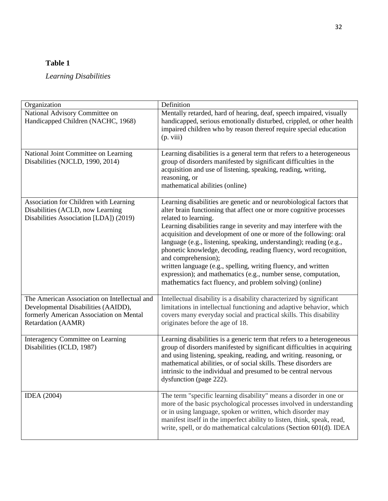# **Table 1**

# *Learning Disabilities*

| Organization                                                                                                                                         | Definition                                                                                                                                                                                                                                                                                                                                                                                                                                                                                                                                                                                                                                                                       |
|------------------------------------------------------------------------------------------------------------------------------------------------------|----------------------------------------------------------------------------------------------------------------------------------------------------------------------------------------------------------------------------------------------------------------------------------------------------------------------------------------------------------------------------------------------------------------------------------------------------------------------------------------------------------------------------------------------------------------------------------------------------------------------------------------------------------------------------------|
| National Advisory Committee on<br>Handicapped Children (NACHC, 1968)                                                                                 | Mentally retarded, hard of hearing, deaf, speech impaired, visually<br>handicapped, serious emotionally disturbed, crippled, or other health<br>impaired children who by reason thereof require special education<br>(p. viii)                                                                                                                                                                                                                                                                                                                                                                                                                                                   |
| National Joint Committee on Learning<br>Disabilities (NJCLD, 1990, 2014)                                                                             | Learning disabilities is a general term that refers to a heterogeneous<br>group of disorders manifested by significant difficulties in the<br>acquisition and use of listening, speaking, reading, writing,<br>reasoning, or<br>mathematical abilities (online)                                                                                                                                                                                                                                                                                                                                                                                                                  |
| Association for Children with Learning<br>Disabilities (ACLD, now Learning<br>Disabilities Association [LDA]) (2019)                                 | Learning disabilities are genetic and or neurobiological factors that<br>alter brain functioning that affect one or more cognitive processes<br>related to learning.<br>Learning disabilities range in severity and may interfere with the<br>acquisition and development of one or more of the following: oral<br>language (e.g., listening, speaking, understanding); reading (e.g.,<br>phonetic knowledge, decoding, reading fluency, word recognition,<br>and comprehension);<br>written language (e.g., spelling, writing fluency, and written<br>expression); and mathematics (e.g., number sense, computation,<br>mathematics fact fluency, and problem solving) (online) |
| The American Association on Intellectual and<br>Developmental Disabilities (AAIDD),<br>formerly American Association on Mental<br>Retardation (AAMR) | Intellectual disability is a disability characterized by significant<br>limitations in intellectual functioning and adaptive behavior, which<br>covers many everyday social and practical skills. This disability<br>originates before the age of 18.                                                                                                                                                                                                                                                                                                                                                                                                                            |
| Interagency Committee on Learning<br>Disabilities (ICLD, 1987)                                                                                       | Learning disabilities is a generic term that refers to a heterogeneous<br>group of disorders manifested by significant difficulties in acquiring<br>and using listening, speaking, reading, and writing. reasoning, or<br>mathematical abilities, or of social skills. These disorders are<br>intrinsic to the individual and presumed to be central nervous<br>dysfunction (page 222).                                                                                                                                                                                                                                                                                          |
| <b>IDEA</b> (2004)                                                                                                                                   | The term "specific learning disability" means a disorder in one or<br>more of the basic psychological processes involved in understanding<br>or in using language, spoken or written, which disorder may<br>manifest itself in the imperfect ability to listen, think, speak, read,<br>write, spell, or do mathematical calculations (Section 601(d). IDEA                                                                                                                                                                                                                                                                                                                       |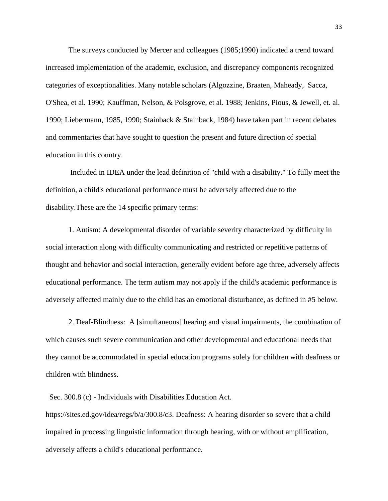The surveys conducted by Mercer and colleagues (1985;1990) indicated a trend toward increased implementation of the academic, exclusion, and discrepancy components recognized categories of exceptionalities. Many notable scholars (Algozzine, Braaten, Maheady, Sacca, O'Shea, et al. 1990; Kauffman, Nelson, & Polsgrove, et al. 1988; Jenkins, Pious, & Jewell, et. al. 1990; Liebermann, 1985, 1990; Stainback & Stainback, 1984) have taken part in recent debates and commentaries that have sought to question the present and future direction of special education in this country.

Included in IDEA under the lead definition of "child with a disability." To fully meet the definition, a child's educational performance must be adversely affected due to the disability.These are the 14 specific primary terms:

1. Autism: A developmental disorder of variable severity characterized by difficulty in social interaction along with difficulty communicating and restricted or repetitive patterns of thought and behavior and social interaction, generally evident before age three, adversely affects educational performance. The term autism may not apply if the child's academic performance is adversely affected mainly due to the child has an emotional disturbance, as defined in #5 below.

2. Deaf-Blindness: A [simultaneous] hearing and visual impairments, the combination of which causes such severe communication and other developmental and educational needs that they cannot be accommodated in special education programs solely for children with deafness or children with blindness.

Sec. 300.8 (c) - Individuals with Disabilities Education Act.

https://sites.ed.gov/idea/regs/b/a/300.8/c3. Deafness: A hearing disorder so severe that a child impaired in processing linguistic information through hearing, with or without amplification, adversely affects a child's educational performance.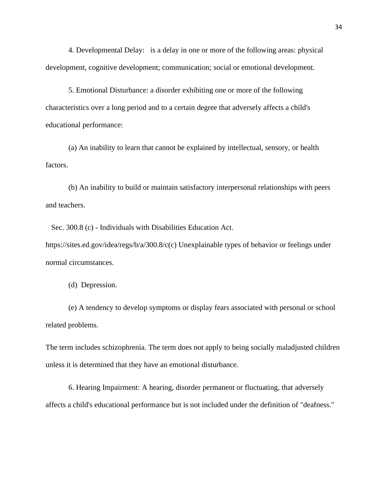4. Developmental Delay: is a delay in one or more of the following areas: physical development, cognitive development; communication; social or emotional development.

5. Emotional Disturbance: a disorder exhibiting one or more of the following characteristics over a long period and to a certain degree that adversely affects a child's educational performance:

(a) An inability to learn that cannot be explained by intellectual, sensory, or health factors.

(b) An inability to build or maintain satisfactory interpersonal relationships with peers and teachers.

Sec. 300.8 (c) - Individuals with Disabilities Education Act.

https://sites.ed.gov/idea/regs/b/a/300.8/c(c) Unexplainable types of behavior or feelings under normal circumstances.

(d) Depression.

(e) A tendency to develop symptoms or display fears associated with personal or school related problems.

The term includes schizophrenia. The term does not apply to being socially maladjusted children unless it is determined that they have an emotional disturbance.

6. Hearing Impairment: A hearing, disorder permanent or fluctuating, that adversely affects a child's educational performance but is not included under the definition of "deafness."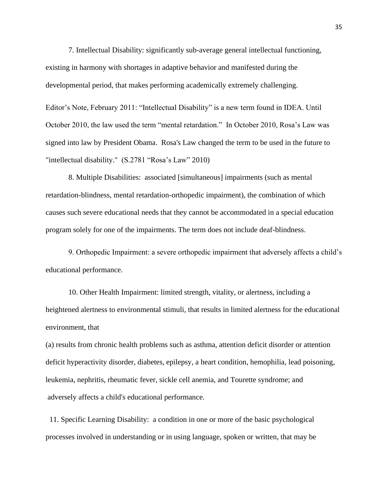7. Intellectual Disability: significantly sub-average general intellectual functioning, existing in harmony with shortages in adaptive behavior and manifested during the developmental period, that makes performing academically extremely challenging. Editor's Note, February 2011: "Intellectual Disability" is a new term found in IDEA. Until October 2010, the law used the term "mental retardation." In October 2010, Rosa's Law was signed into law by President Obama. Rosa's Law changed the term to be used in the future to "intellectual disability." (S.2781 "Rosa's Law" 2010)

8. Multiple Disabilities: associated [simultaneous] impairments (such as mental retardation-blindness, mental retardation-orthopedic impairment), the combination of which causes such severe educational needs that they cannot be accommodated in a special education program solely for one of the impairments. The term does not include deaf-blindness.

9. Orthopedic Impairment: a severe orthopedic impairment that adversely affects a child's educational performance.

10. Other Health Impairment: limited strength, vitality, or alertness, including a heightened alertness to environmental stimuli, that results in limited alertness for the educational environment, that

(a) results from chronic health problems such as asthma, attention deficit disorder or attention deficit hyperactivity disorder, diabetes, epilepsy, a heart condition, hemophilia, lead poisoning, leukemia, nephritis, rheumatic fever, sickle cell anemia, and Tourette syndrome; and adversely affects a child's educational performance.

 11. Specific Learning Disability: a condition in one or more of the basic psychological processes involved in understanding or in using language, spoken or written, that may be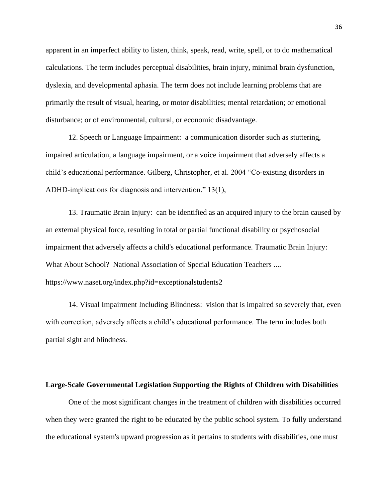apparent in an imperfect ability to listen, think, speak, read, write, spell, or to do mathematical calculations. The term includes perceptual disabilities, brain injury, minimal brain dysfunction, dyslexia, and developmental aphasia. The term does not include learning problems that are primarily the result of visual, hearing, or motor disabilities; mental retardation; or emotional disturbance; or of environmental, cultural, or economic disadvantage.

12. Speech or Language Impairment: a communication disorder such as stuttering, impaired articulation, a language impairment, or a voice impairment that adversely affects a child's educational performance. Gilberg, Christopher, et al. 2004 "Co-existing disorders in ADHD-implications for diagnosis and intervention." 13(1),

13. Traumatic Brain Injury: can be identified as an acquired injury to the brain caused by an external physical force, resulting in total or partial functional disability or psychosocial impairment that adversely affects a child's educational performance. Traumatic Brain Injury: What About School? National Association of Special Education Teachers .... https://www.naset.org/index.php?id=exceptionalstudents2

14. Visual Impairment Including Blindness: vision that is impaired so severely that, even with correction, adversely affects a child's educational performance. The term includes both partial sight and blindness.

## **Large-Scale Governmental Legislation Supporting the Rights of Children with Disabilities**

One of the most significant changes in the treatment of children with disabilities occurred when they were granted the right to be educated by the public school system. To fully understand the educational system's upward progression as it pertains to students with disabilities, one must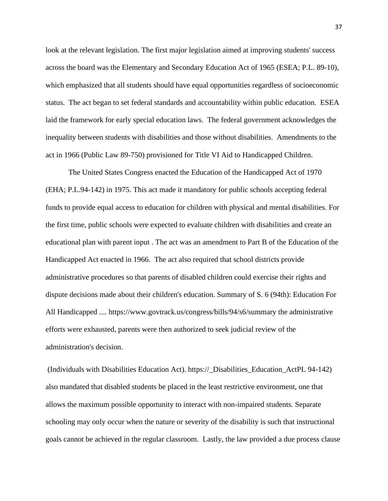look at the relevant legislation. The first major legislation aimed at improving students' success across the board was the Elementary and Secondary Education Act of 1965 (ESEA; P.L. 89-10), which emphasized that all students should have equal opportunities regardless of socioeconomic status. The act began to set federal standards and accountability within public education. ESEA laid the framework for early special education laws. The federal government acknowledges the inequality between students with disabilities and those without disabilities. Amendments to the act in 1966 (Public Law 89-750) provisioned for Title VI Aid to Handicapped Children.

The United States Congress enacted the Education of the Handicapped Act of 1970 (EHA; P.L.94-142) in 1975. This act made it mandatory for public schools accepting federal funds to provide equal access to education for children with physical and mental disabilities. For the first time, public schools were expected to evaluate children with disabilities and create an educational plan with parent input . The act was an amendment to Part B of the Education of the Handicapped Act enacted in 1966. The act also required that school districts provide administrative procedures so that parents of disabled children could exercise their rights and dispute decisions made about their children's education. Summary of S. 6 (94th): Education For All Handicapped .... https://www.govtrack.us/congress/bills/94/s6/summary the administrative efforts were exhausted, parents were then authorized to seek judicial review of the administration's decision.

(Individuals with Disabilities Education Act). https://\_Disabilities\_Education\_ActPL 94-142) also mandated that disabled students be placed in the least restrictive environment, one that allows the maximum possible opportunity to interact with non-impaired students. Separate schooling may only occur when the nature or severity of the disability is such that instructional goals cannot be achieved in the regular classroom. Lastly, the law provided a due process clause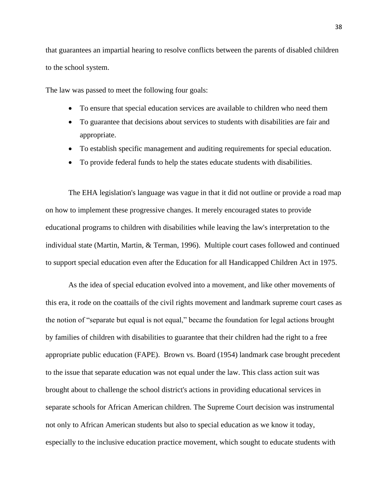that guarantees an impartial hearing to resolve conflicts between the parents of disabled children to the school system.

The law was passed to meet the following four goals:

- To ensure that special education services are available to children who need them
- To guarantee that decisions about services to students with disabilities are fair and appropriate.
- To establish specific management and auditing requirements for special education.
- To provide federal funds to help the states educate students with disabilities.

The EHA legislation's language was vague in that it did not outline or provide a road map on how to implement these progressive changes. It merely encouraged states to provide educational programs to children with disabilities while leaving the law's interpretation to the individual state (Martin, Martin, & Terman, 1996). Multiple court cases followed and continued to support special education even after the Education for all Handicapped Children Act in 1975.

As the idea of special education evolved into a movement, and like other movements of this era, it rode on the coattails of the civil rights movement and landmark supreme court cases as the notion of "separate but equal is not equal," became the foundation for legal actions brought by families of children with disabilities to guarantee that their children had the right to a free appropriate public education (FAPE). Brown vs. Board (1954) landmark case brought precedent to the issue that separate education was not equal under the law. This class action suit was brought about to challenge the school district's actions in providing educational services in separate schools for African American children. The Supreme Court decision was instrumental not only to African American students but also to special education as we know it today, especially to the inclusive education practice movement, which sought to educate students with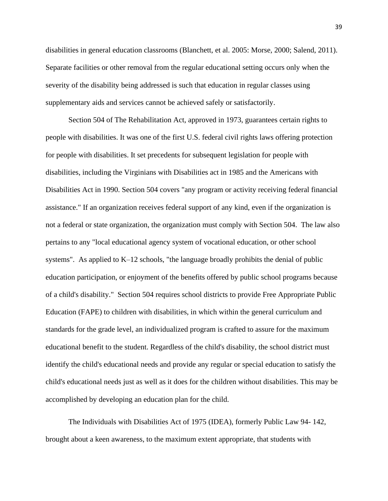disabilities in general education classrooms (Blanchett, et al. 2005: Morse, 2000; Salend, 2011). Separate facilities or other removal from the regular educational setting occurs only when the severity of the disability being addressed is such that education in regular classes using supplementary aids and services cannot be achieved safely or satisfactorily.

Section 504 of The Rehabilitation Act, approved in 1973, guarantees certain rights to people with disabilities. It was one of the first U.S. federal civil rights laws offering protection for people with disabilities. It set precedents for subsequent legislation for people with disabilities, including the Virginians with Disabilities act in 1985 and the Americans with Disabilities Act in 1990. Section 504 covers "any program or activity receiving federal financial assistance." If an organization receives federal support of any kind, even if the organization is not a federal or state organization, the organization must comply with Section 504. The law also pertains to any "local educational agency system of vocational education, or other school systems". As applied to K–12 schools, "the language broadly prohibits the denial of public education participation, or enjoyment of the benefits offered by public school programs because of a child's disability." Section 504 requires school districts to provide Free Appropriate Public Education (FAPE) to children with disabilities, in which within the general curriculum and standards for the grade level, an individualized program is crafted to assure for the maximum educational benefit to the student. Regardless of the child's disability, the school district must identify the child's educational needs and provide any regular or special education to satisfy the child's educational needs just as well as it does for the children without disabilities. This may be accomplished by developing an education plan for the child.

The Individuals with Disabilities Act of 1975 (IDEA), formerly Public Law 94- 142, brought about a keen awareness, to the maximum extent appropriate, that students with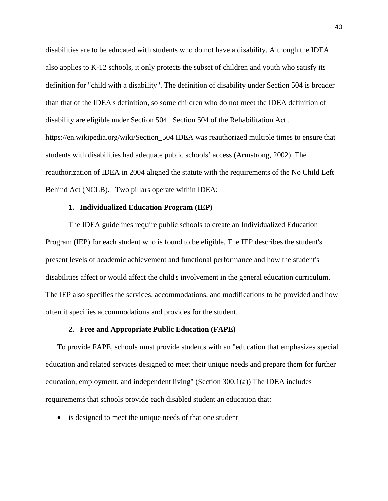disabilities are to be educated with students who do not have a disability. Although the IDEA also applies to K-12 schools, it only protects the subset of children and youth who satisfy its definition for "child with a disability". The definition of disability under Section 504 is broader than that of the IDEA's definition, so some children who do not meet the IDEA definition of disability are eligible under Section 504. Section 504 of the Rehabilitation Act . https://en.wikipedia.org/wiki/Section\_504 IDEA was reauthorized multiple times to ensure that students with disabilities had adequate public schools' access (Armstrong, 2002). The reauthorization of IDEA in 2004 aligned the statute with the requirements of the No Child Left Behind Act (NCLB). Two pillars operate within IDEA:

#### **1. Individualized Education Program (IEP)**

The IDEA guidelines require public schools to create an Individualized Education Program (IEP) for each student who is found to be eligible. The IEP describes the student's present levels of academic achievement and functional performance and how the student's disabilities affect or would affect the child's involvement in the general education curriculum. The IEP also specifies the services, accommodations, and modifications to be provided and how often it specifies accommodations and provides for the student.

#### **2. Free and Appropriate Public Education (FAPE)**

To provide FAPE, schools must provide students with an "education that emphasizes special education and related services designed to meet their unique needs and prepare them for further education, employment, and independent living" (Section 300.1(a)) The IDEA includes requirements that schools provide each disabled student an education that:

• is designed to meet the unique needs of that one student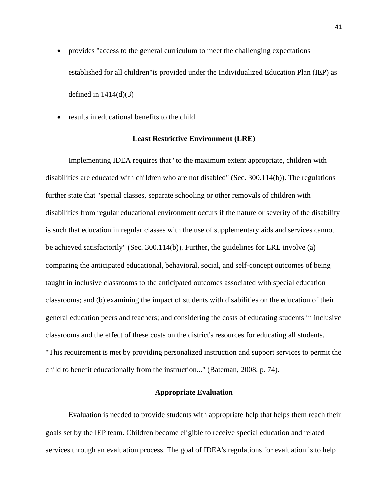- provides "access to the general curriculum to meet the challenging expectations established for all children"is provided under the Individualized Education Plan (IEP) as defined in  $1414(d)(3)$
- results in educational benefits to the child

#### **Least Restrictive Environment (LRE)**

Implementing IDEA requires that "to the maximum extent appropriate, children with disabilities are educated with children who are not disabled" (Sec. 300.114(b)). The regulations further state that "special classes, separate schooling or other removals of children with disabilities from regular educational environment occurs if the nature or severity of the disability is such that education in regular classes with the use of supplementary aids and services cannot be achieved satisfactorily" (Sec. 300.114(b)). Further, the guidelines for LRE involve (a) comparing the anticipated educational, behavioral, social, and self-concept outcomes of being taught in inclusive classrooms to the anticipated outcomes associated with special education classrooms; and (b) examining the impact of students with disabilities on the education of their general education peers and teachers; and considering the costs of educating students in inclusive classrooms and the effect of these costs on the district's resources for educating all students. "This requirement is met by providing personalized instruction and support services to permit the child to benefit educationally from the instruction..." (Bateman, 2008, p. 74).

# **Appropriate Evaluation**

Evaluation is needed to provide students with appropriate help that helps them reach their goals set by the IEP team. Children become eligible to receive special education and related services through an evaluation process. The goal of IDEA's regulations for evaluation is to help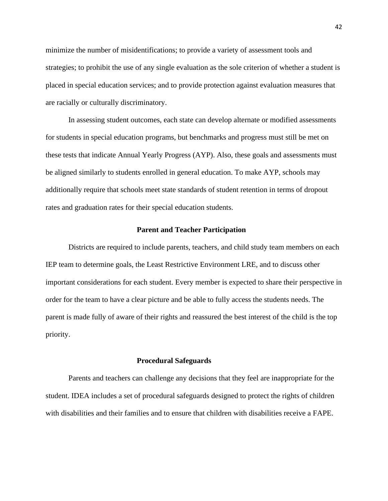minimize the number of misidentifications; to provide a variety of assessment tools and strategies; to prohibit the use of any single evaluation as the sole criterion of whether a student is placed in special education services; and to provide protection against evaluation measures that are racially or culturally discriminatory.

In assessing student outcomes, each state can develop alternate or modified assessments for students in special education programs, but benchmarks and progress must still be met on these tests that indicate Annual Yearly Progress (AYP). Also, these goals and assessments must be aligned similarly to students enrolled in general education. To make AYP, schools may additionally require that schools meet state standards of student retention in terms of dropout rates and graduation rates for their special education students.

## **Parent and Teacher Participation**

Districts are required to include parents, teachers, and child study team members on each IEP team to determine goals, the Least Restrictive Environment LRE, and to discuss other important considerations for each student. Every member is expected to share their perspective in order for the team to have a clear picture and be able to fully access the students needs. The parent is made fully of aware of their rights and reassured the best interest of the child is the top priority.

#### **Procedural Safeguards**

Parents and teachers can challenge any decisions that they feel are inappropriate for the student. IDEA includes a set of procedural safeguards designed to protect the rights of children with disabilities and their families and to ensure that children with disabilities receive a FAPE.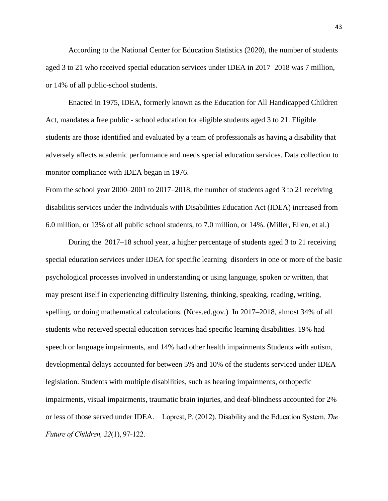According to the National Center for Education Statistics (2020), the number of students aged 3 to 21 who received special education services under IDEA in 2017–2018 was 7 million, or 14% of all public-school students.

Enacted in 1975, IDEA, formerly known as the Education for All Handicapped Children Act, mandates a free public - school education for eligible students aged 3 to 21. Eligible students are those identified and evaluated by a team of professionals as having a disability that adversely affects academic performance and needs special education services. Data collection to monitor compliance with IDEA began in 1976.

From the school year 2000–2001 to 2017–2018, the number of students aged 3 to 21 receiving disabilitis services under the Individuals with Disabilities Education Act (IDEA) increased from 6.0 million, or 13% of all public school students, to 7.0 million, or 14%. (Miller, Ellen, et al.)

During the 2017–18 school year, a higher percentage of students aged 3 to 21 receiving special education services under IDEA for specific learning disorders in one or more of the basic psychological processes involved in understanding or using language, spoken or written, that may present itself in experiencing difficulty listening, thinking, speaking, reading, writing, spelling, or doing mathematical calculations. (Nces.ed.gov.) In 2017–2018, almost 34% of all students who received special education services had specific learning disabilities. 19% had speech or language impairments, and 14% had other health impairments Students with autism, developmental delays accounted for between 5% and 10% of the students serviced under IDEA legislation. Students with multiple disabilities, such as hearing impairments, orthopedic impairments, visual impairments, traumatic brain injuries, and deaf-blindness accounted for 2% or less of those served under IDEA. Loprest, P. (2012). Disability and the Education System. *The Future of Children, 22*(1), 97-122.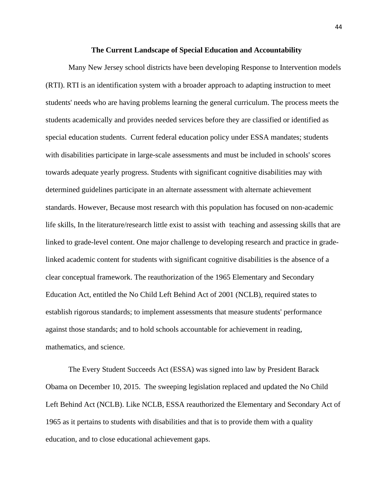#### **The Current Landscape of Special Education and Accountability**

Many New Jersey school districts have been developing Response to Intervention models (RTI). RTI is an identification system with a broader approach to adapting instruction to meet students' needs who are having problems learning the general curriculum. The process meets the students academically and provides needed services before they are classified or identified as special education students. Current federal education policy under ESSA mandates; students with disabilities participate in large-scale assessments and must be included in schools' scores towards adequate yearly progress. Students with significant cognitive disabilities may with determined guidelines participate in an alternate assessment with alternate achievement standards. However, Because most research with this population has focused on non-academic life skills, In the literature/research little exist to assist with teaching and assessing skills that are linked to grade-level content. One major challenge to developing research and practice in gradelinked academic content for students with significant cognitive disabilities is the absence of a clear conceptual framework. The reauthorization of the 1965 Elementary and Secondary Education Act, entitled the No Child Left Behind Act of 2001 (NCLB), required states to establish rigorous standards; to implement assessments that measure students' performance against those standards; and to hold schools accountable for achievement in reading, mathematics, and science.

The Every Student Succeeds Act (ESSA) was signed into law by President Barack Obama on December 10, 2015. The sweeping legislation replaced and updated the No Child Left Behind Act (NCLB). Like NCLB, ESSA reauthorized the Elementary and Secondary Act of 1965 as it pertains to students with disabilities and that is to provide them with a quality education, and to close educational achievement gaps.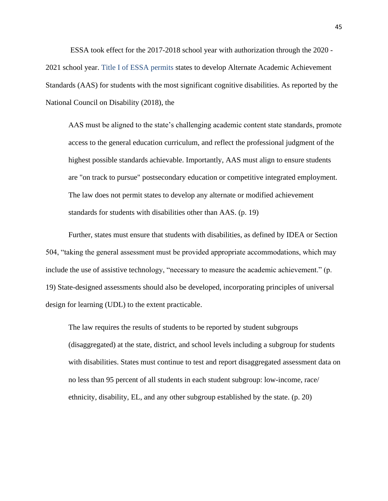ESSA took effect for the 2017-2018 school year with authorization through the 2020 - 2021 school year. Title I of ESSA permits states to develop Alternate Academic Achievement Standards (AAS) for students with the most significant cognitive disabilities. As reported by the National Council on Disability (2018), the

AAS must be aligned to the state's challenging academic content state standards, promote access to the general education curriculum, and reflect the professional judgment of the highest possible standards achievable. Importantly, AAS must align to ensure students are "on track to pursue" postsecondary education or competitive integrated employment. The law does not permit states to develop any alternate or modified achievement standards for students with disabilities other than AAS. (p. 19)

Further, states must ensure that students with disabilities, as defined by IDEA or Section 504, "taking the general assessment must be provided appropriate accommodations, which may include the use of assistive technology, "necessary to measure the academic achievement." (p. 19) State-designed assessments should also be developed, incorporating principles of universal design for learning (UDL) to the extent practicable.

The law requires the results of students to be reported by student subgroups (disaggregated) at the state, district, and school levels including a subgroup for students with disabilities. States must continue to test and report disaggregated assessment data on no less than 95 percent of all students in each student subgroup: low-income, race/ ethnicity, disability, EL, and any other subgroup established by the state. (p. 20)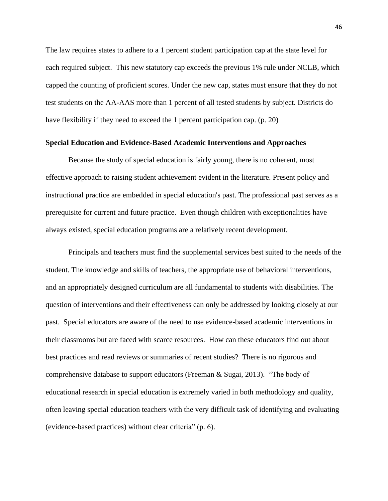The law requires states to adhere to a 1 percent student participation cap at the state level for each required subject. This new statutory cap exceeds the previous 1% rule under NCLB, which capped the counting of proficient scores. Under the new cap, states must ensure that they do not test students on the AA-AAS more than 1 percent of all tested students by subject. Districts do have flexibility if they need to exceed the 1 percent participation cap. (p. 20)

# **Special Education and Evidence-Based Academic Interventions and Approaches**

Because the study of special education is fairly young, there is no coherent, most effective approach to raising student achievement evident in the literature. Present policy and instructional practice are embedded in special education's past. The professional past serves as a prerequisite for current and future practice. Even though children with exceptionalities have always existed, special education programs are a relatively recent development.

Principals and teachers must find the supplemental services best suited to the needs of the student. The knowledge and skills of teachers, the appropriate use of behavioral interventions, and an appropriately designed curriculum are all fundamental to students with disabilities. The question of interventions and their effectiveness can only be addressed by looking closely at our past. Special educators are aware of the need to use evidence-based academic interventions in their classrooms but are faced with scarce resources. How can these educators find out about best practices and read reviews or summaries of recent studies? There is no rigorous and comprehensive database to support educators (Freeman  $\&$  Sugai, 2013). "The body of educational research in special education is extremely varied in both methodology and quality, often leaving special education teachers with the very difficult task of identifying and evaluating (evidence-based practices) without clear criteria" (p. 6).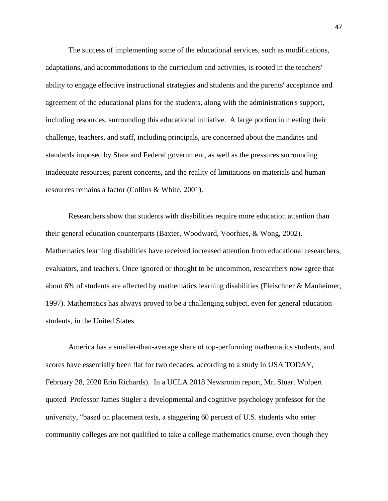The success of implementing some of the educational services, such as modifications, adaptations, and accommodations to the curriculum and activities, is rooted in the teachers' ability to engage effective instructional strategies and students and the parents' acceptance and agreement of the educational plans for the students, along with the administration's support, including resources, surrounding this educational initiative. A large portion in meeting their challenge, teachers, and staff, including principals, are concerned about the mandates and standards imposed by State and Federal government, as well as the pressures surrounding inadequate resources, parent concerns, and the reality of limitations on materials and human resources remains a factor (Collins & White, 2001).

Researchers show that students with disabilities require more education attention than their general education counterparts (Baxter, Woodward, Voorhies, & Wong, 2002). Mathematics learning disabilities have received increased attention from educational researchers, evaluators, and teachers. Once ignored or thought to be uncommon, researchers now agree that about 6% of students are affected by mathematics learning disabilities (Fleischner & Manheimer, 1997). Mathematics has always proved to be a challenging subject, even for general education students, in the United States.

America has a smaller-than-average share of top-performing mathematics students, and scores have essentially been flat for two decades, according to a study in USA TODAY, February 28, 2020 Erin Richards). In a UCLA 2018 Newsroom report, Mr. Stuart Wolpert quoted Professor James Stigler a developmental and cognitive psychology professor for the university, "based on placement tests, a staggering 60 percent of U.S. students who enter community colleges are not qualified to take a college mathematics course, even though they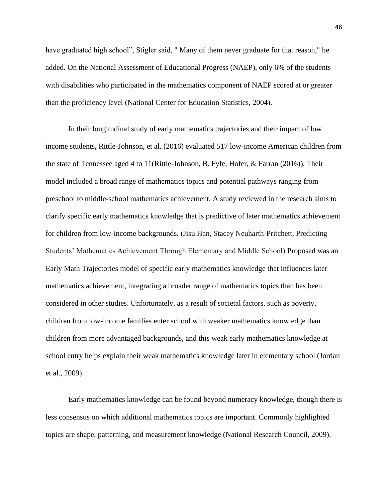have graduated high school", Stigler said, " Many of them never graduate for that reason," he added. On the National Assessment of Educational Progress (NAEP), only 6% of the students with disabilities who participated in the mathematics component of NAEP scored at or greater than the proficiency level (National Center for Education Statistics, 2004).

In their longitudinal study of early mathematics trajectories and their impact of low income students, Rittle-Johnson, et al. (2016) evaluated 517 low-income American children from the state of Tennessee aged 4 to 11(Rittle-Johnson, B. Fyfe, Hofer, & Farran (2016)). Their model included a broad range of mathematics topics and potential pathways ranging from preschool to middle-school mathematics achievement. A study reviewed in the research aims to clarify specific early mathematics knowledge that is predictive of later mathematics achievement for children from low-income backgrounds. (Jisu Han, Stacey Neuharth-Pritchett, Predicting Students' Mathematics Achievement Through Elementary and Middle School) Proposed was an Early Math Trajectories model of specific early mathematics knowledge that influences later mathematics achievement, integrating a broader range of mathematics topics than has been considered in other studies. Unfortunately, as a result of societal factors, such as poverty, children from low-income families enter school with weaker mathematics knowledge than children from more advantaged backgrounds, and this weak early mathematics knowledge at school entry helps explain their weak mathematics knowledge later in elementary school (Jordan et al., 2009).

Early mathematics knowledge can be found beyond numeracy knowledge, though there is less consensus on which additional mathematics topics are important. Commonly highlighted topics are shape, patterning, and measurement knowledge (National Research Council, 2009).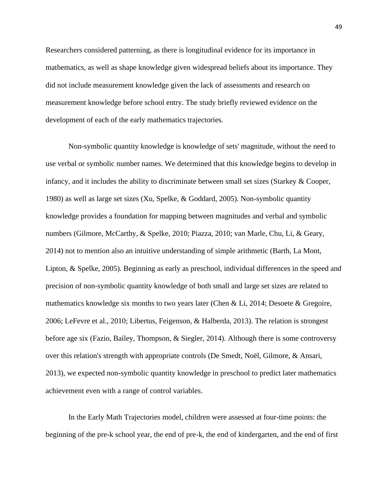Researchers considered patterning, as there is longitudinal evidence for its importance in mathematics, as well as shape knowledge given widespread beliefs about its importance. They did not include measurement knowledge given the lack of assessments and research on measurement knowledge before school entry. The study briefly reviewed evidence on the development of each of the early mathematics trajectories.

Non-symbolic quantity knowledge is knowledge of sets' magnitude, without the need to use verbal or symbolic number names. We determined that this knowledge begins to develop in infancy, and it includes the ability to discriminate between small set sizes (Starkey & Cooper, 1980) as well as large set sizes (Xu, Spelke, & Goddard, 2005). Non-symbolic quantity knowledge provides a foundation for mapping between magnitudes and verbal and symbolic numbers (Gilmore, McCarthy, & Spelke, 2010; Piazza, 2010; van Marle, Chu, Li, & Geary, 2014) not to mention also an intuitive understanding of simple arithmetic (Barth, La Mont, Lipton, & Spelke, 2005). Beginning as early as preschool, individual differences in the speed and precision of non-symbolic quantity knowledge of both small and large set sizes are related to mathematics knowledge six months to two years later (Chen & Li, 2014; Desoete & Gregoire, 2006; LeFevre et al., 2010; Libertus, Feigenson, & Halberda, 2013). The relation is strongest before age six (Fazio, Bailey, Thompson, & Siegler, 2014). Although there is some controversy over this relation's strength with appropriate controls (De Smedt, Noël, Gilmore, & Ansari, 2013), we expected non-symbolic quantity knowledge in preschool to predict later mathematics achievement even with a range of control variables.

In the Early Math Trajectories model, children were assessed at four-time points: the beginning of the pre-k school year, the end of pre-k, the end of kindergarten, and the end of first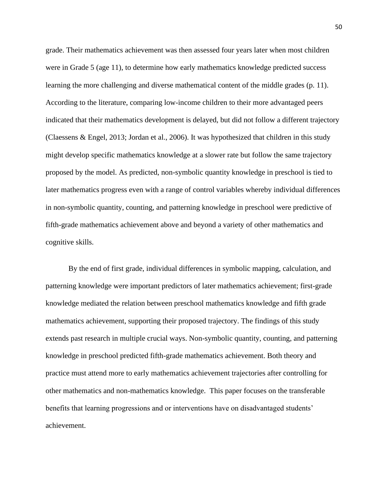grade. Their mathematics achievement was then assessed four years later when most children were in Grade 5 (age 11), to determine how early mathematics knowledge predicted success learning the more challenging and diverse mathematical content of the middle grades (p. 11). According to the literature, comparing low-income children to their more advantaged peers indicated that their mathematics development is delayed, but did not follow a different trajectory (Claessens & Engel, 2013; Jordan et al., 2006). It was hypothesized that children in this study might develop specific mathematics knowledge at a slower rate but follow the same trajectory proposed by the model. As predicted, non-symbolic quantity knowledge in preschool is tied to later mathematics progress even with a range of control variables whereby individual differences in non-symbolic quantity, counting, and patterning knowledge in preschool were predictive of fifth-grade mathematics achievement above and beyond a variety of other mathematics and cognitive skills.

By the end of first grade, individual differences in symbolic mapping, calculation, and patterning knowledge were important predictors of later mathematics achievement; first-grade knowledge mediated the relation between preschool mathematics knowledge and fifth grade mathematics achievement, supporting their proposed trajectory. The findings of this study extends past research in multiple crucial ways. Non-symbolic quantity, counting, and patterning knowledge in preschool predicted fifth-grade mathematics achievement. Both theory and practice must attend more to early mathematics achievement trajectories after controlling for other mathematics and non-mathematics knowledge. This paper focuses on the transferable benefits that learning progressions and or interventions have on disadvantaged students' achievement.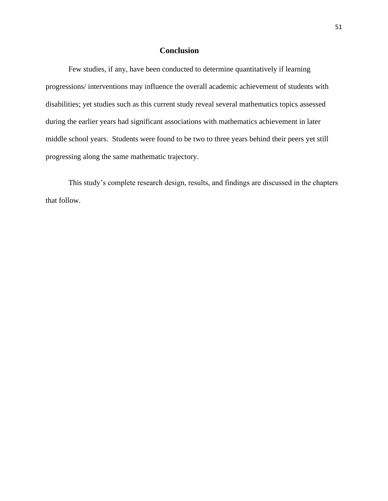# **Conclusion**

Few studies, if any, have been conducted to determine quantitatively if learning progressions/ interventions may influence the overall academic achievement of students with disabilities; yet studies such as this current study reveal several mathematics topics assessed during the earlier years had significant associations with mathematics achievement in later middle school years. Students were found to be two to three years behind their peers yet still progressing along the same mathematic trajectory.

This study's complete research design, results, and findings are discussed in the chapters that follow.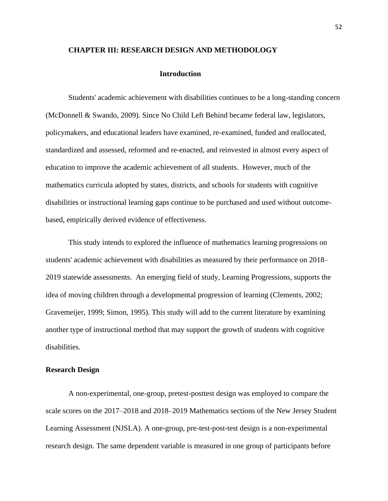## **CHAPTER III: RESEARCH DESIGN AND METHODOLOGY**

#### **Introduction**

Students' academic achievement with disabilities continues to be a long-standing concern (McDonnell & Swando, 2009). Since No Child Left Behind became federal law, legislators, policymakers, and educational leaders have examined, re-examined, funded and reallocated, standardized and assessed, reformed and re-enacted, and reinvested in almost every aspect of education to improve the academic achievement of all students. However, much of the mathematics curricula adopted by states, districts, and schools for students with cognitive disabilities or instructional learning gaps continue to be purchased and used without outcomebased, empirically derived evidence of effectiveness.

This study intends to explored the influence of mathematics learning progressions on students' academic achievement with disabilities as measured by their performance on 2018– 2019 statewide assessments. An emerging field of study, Learning Progressions, supports the idea of moving children through a developmental progression of learning (Clements, 2002; Gravemeijer, 1999; Simon, 1995). This study will add to the current literature by examining another type of instructional method that may support the growth of students with cognitive disabilities.

## **Research Design**

A non-experimental, one-group, pretest-posttest design was employed to compare the scale scores on the 2017–2018 and 2018–2019 Mathematics sections of the New Jersey Student Learning Assessment (NJSLA). A one-group, pre-test-post-test design is a non-experimental research design. The same dependent variable is measured in one group of participants before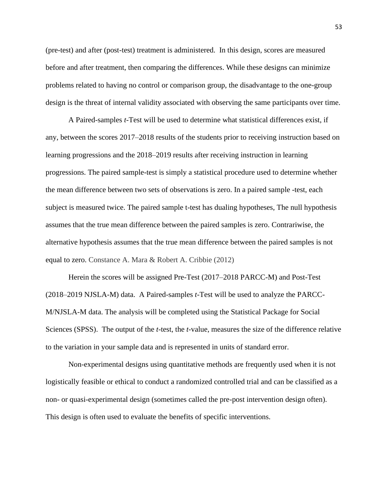(pre-test) and after (post-test) treatment is administered. In this design, scores are measured before and after treatment, then comparing the differences. While these designs can minimize problems related to having no control or comparison group, the disadvantage to the one-group design is the threat of internal validity associated with observing the same participants over time.

A Paired-samples *t*-Test will be used to determine what statistical differences exist, if any, between the scores 2017–2018 results of the students prior to receiving instruction based on learning progressions and the 2018–2019 results after receiving instruction in learning progressions. The paired sample-test is simply a statistical procedure used to determine whether the mean difference between two sets of observations is zero. In a paired sample -test, each subject is measured twice. The paired sample t-test has dualing hypotheses, The null hypothesis assumes that the true mean difference between the paired samples is zero. Contrariwise, the alternative hypothesis assumes that the true mean difference between the paired samples is not equal to zero. Constance A. Mara & Robert A. Cribbie (2012)

Herein the scores will be assigned Pre-Test (2017–2018 PARCC-M) and Post-Test (2018–2019 NJSLA-M) data. A Paired-samples *t*-Test will be used to analyze the PARCC-M/NJSLA-M data. The analysis will be completed using the Statistical Package for Social Sciences (SPSS). The output of the *t*-test, the *t*-value, measures the size of the difference relative to the variation in your sample data and is represented in units of standard error.

Non-experimental designs using quantitative methods are frequently used when it is not logistically feasible or ethical to conduct a randomized controlled trial and can be classified as a non- or quasi-experimental design (sometimes called the pre-post intervention design often). This design is often used to evaluate the benefits of specific interventions.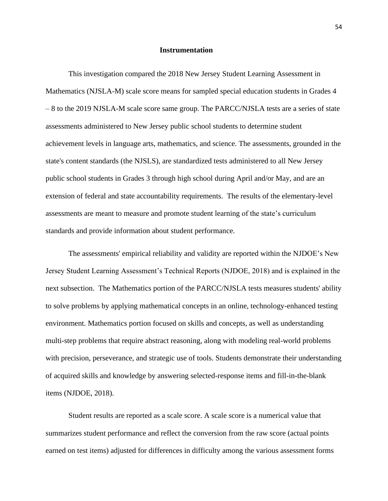## **Instrumentation**

This investigation compared the 2018 New Jersey Student Learning Assessment in Mathematics (NJSLA-M) scale score means for sampled special education students in Grades 4 – 8 to the 2019 NJSLA-M scale score same group. The PARCC/NJSLA tests are a series of state assessments administered to New Jersey public school students to determine student achievement levels in language arts, mathematics, and science. The assessments, grounded in the state's content standards (the NJSLS), are standardized tests administered to all New Jersey public school students in Grades 3 through high school during April and/or May, and are an extension of federal and state accountability requirements. The results of the elementary-level assessments are meant to measure and promote student learning of the state's curriculum standards and provide information about student performance.

The assessments' empirical reliability and validity are reported within the NJDOE's New Jersey Student Learning Assessment's Technical Reports (NJDOE, 2018) and is explained in the next subsection. The Mathematics portion of the PARCC/NJSLA tests measures students' ability to solve problems by applying mathematical concepts in an online, technology-enhanced testing environment. Mathematics portion focused on skills and concepts, as well as understanding multi-step problems that require abstract reasoning, along with modeling real-world problems with precision, perseverance, and strategic use of tools. Students demonstrate their understanding of acquired skills and knowledge by answering selected-response items and fill-in-the-blank items (NJDOE, 2018).

Student results are reported as a scale score. A scale score is a numerical value that summarizes student performance and reflect the conversion from the raw score (actual points earned on test items) adjusted for differences in difficulty among the various assessment forms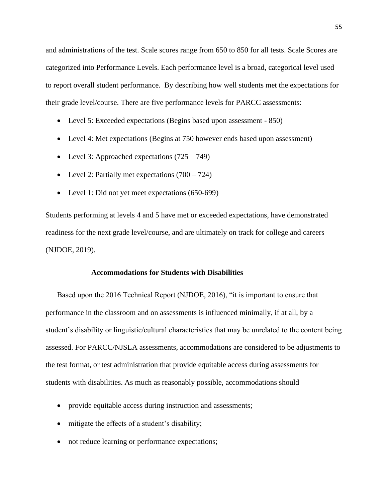and administrations of the test. Scale scores range from 650 to 850 for all tests. Scale Scores are categorized into Performance Levels. Each performance level is a broad, categorical level used to report overall student performance. By describing how well students met the expectations for their grade level/course. There are five performance levels for PARCC assessments:

- Level 5: Exceeded expectations (Begins based upon assessment 850)
- Level 4: Met expectations (Begins at 750 however ends based upon assessment)
- Level 3: Approached expectations  $(725 749)$
- Level 2: Partially met expectations  $(700 724)$
- Level 1: Did not yet meet expectations (650-699)

Students performing at levels 4 and 5 have met or exceeded expectations, have demonstrated readiness for the next grade level/course, and are ultimately on track for college and careers (NJDOE, 2019).

### **Accommodations for Students with Disabilities**

Based upon the 2016 Technical Report (NJDOE, 2016), "it is important to ensure that performance in the classroom and on assessments is influenced minimally, if at all, by a student's disability or linguistic/cultural characteristics that may be unrelated to the content being assessed. For PARCC/NJSLA assessments, accommodations are considered to be adjustments to the test format, or test administration that provide equitable access during assessments for students with disabilities. As much as reasonably possible, accommodations should

- provide equitable access during instruction and assessments;
- mitigate the effects of a student's disability;
- not reduce learning or performance expectations;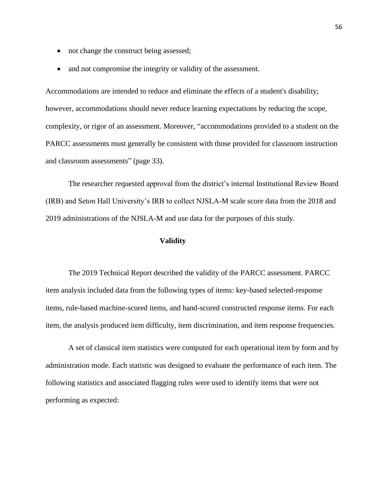- not change the construct being assessed;
- and not compromise the integrity or validity of the assessment.

Accommodations are intended to reduce and eliminate the effects of a student's disability; however, accommodations should never reduce learning expectations by reducing the scope, complexity, or rigor of an assessment. Moreover, "accommodations provided to a student on the PARCC assessments must generally be consistent with those provided for classroom instruction and classroom assessments" (page 33).

The researcher requested approval from the district's internal Institutional Review Board (IRB) and Seton Hall University's IRB to collect NJSLA-M scale score data from the 2018 and 2019 administrations of the NJSLA-M and use data for the purposes of this study.

## **Validity**

The 2019 Technical Report described the validity of the PARCC assessment. PARCC item analysis included data from the following types of items: key-based selected-response items, rule-based machine-scored items, and hand-scored constructed response items. For each item, the analysis produced item difficulty, item discrimination, and item response frequencies.

A set of classical item statistics were computed for each operational item by form and by administration mode. Each statistic was designed to evaluate the performance of each item. The following statistics and associated flagging rules were used to identify items that were not performing as expected: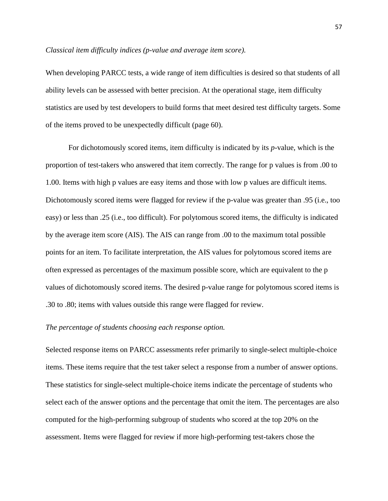#### *Classical item difficulty indices (p-value and average item score).*

When developing PARCC tests, a wide range of item difficulties is desired so that students of all ability levels can be assessed with better precision. At the operational stage, item difficulty statistics are used by test developers to build forms that meet desired test difficulty targets. Some of the items proved to be unexpectedly difficult (page 60).

For dichotomously scored items, item difficulty is indicated by its *p*-value, which is the proportion of test-takers who answered that item correctly. The range for p values is from .00 to 1.00. Items with high p values are easy items and those with low p values are difficult items. Dichotomously scored items were flagged for review if the p-value was greater than .95 (i.e., too easy) or less than .25 (i.e., too difficult). For polytomous scored items, the difficulty is indicated by the average item score (AIS). The AIS can range from .00 to the maximum total possible points for an item. To facilitate interpretation, the AIS values for polytomous scored items are often expressed as percentages of the maximum possible score, which are equivalent to the p values of dichotomously scored items. The desired p-value range for polytomous scored items is .30 to .80; items with values outside this range were flagged for review.

## *The percentage of students choosing each response option.*

Selected response items on PARCC assessments refer primarily to single-select multiple-choice items. These items require that the test taker select a response from a number of answer options. These statistics for single-select multiple-choice items indicate the percentage of students who select each of the answer options and the percentage that omit the item. The percentages are also computed for the high-performing subgroup of students who scored at the top 20% on the assessment. Items were flagged for review if more high-performing test-takers chose the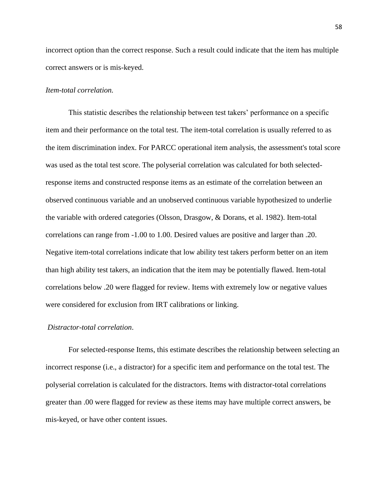incorrect option than the correct response. Such a result could indicate that the item has multiple correct answers or is mis-keyed.

# *Item-total correlation.*

This statistic describes the relationship between test takers' performance on a specific item and their performance on the total test. The item-total correlation is usually referred to as the item discrimination index. For PARCC operational item analysis, the assessment's total score was used as the total test score. The polyserial correlation was calculated for both selectedresponse items and constructed response items as an estimate of the correlation between an observed continuous variable and an unobserved continuous variable hypothesized to underlie the variable with ordered categories (Olsson, Drasgow, & Dorans, et al. 1982). Item-total correlations can range from -1.00 to 1.00. Desired values are positive and larger than .20. Negative item-total correlations indicate that low ability test takers perform better on an item than high ability test takers, an indication that the item may be potentially flawed. Item-total correlations below .20 were flagged for review. Items with extremely low or negative values were considered for exclusion from IRT calibrations or linking.

# *Distractor-total correlation*.

For selected-response Items, this estimate describes the relationship between selecting an incorrect response (i.e., a distractor) for a specific item and performance on the total test. The polyserial correlation is calculated for the distractors. Items with distractor-total correlations greater than .00 were flagged for review as these items may have multiple correct answers, be mis-keyed, or have other content issues.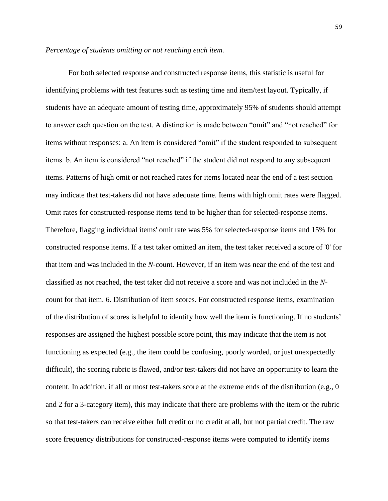#### *Percentage of students omitting or not reaching each item.*

For both selected response and constructed response items, this statistic is useful for identifying problems with test features such as testing time and item/test layout. Typically, if students have an adequate amount of testing time, approximately 95% of students should attempt to answer each question on the test. A distinction is made between "omit" and "not reached" for items without responses: a. An item is considered "omit" if the student responded to subsequent items. b. An item is considered "not reached" if the student did not respond to any subsequent items. Patterns of high omit or not reached rates for items located near the end of a test section may indicate that test-takers did not have adequate time. Items with high omit rates were flagged. Omit rates for constructed-response items tend to be higher than for selected-response items. Therefore, flagging individual items' omit rate was 5% for selected-response items and 15% for constructed response items. If a test taker omitted an item, the test taker received a score of '0' for that item and was included in the *N*-count. However, if an item was near the end of the test and classified as not reached, the test taker did not receive a score and was not included in the *N*count for that item. 6. Distribution of item scores. For constructed response items, examination of the distribution of scores is helpful to identify how well the item is functioning. If no students' responses are assigned the highest possible score point, this may indicate that the item is not functioning as expected (e.g., the item could be confusing, poorly worded, or just unexpectedly difficult), the scoring rubric is flawed, and/or test-takers did not have an opportunity to learn the content. In addition, if all or most test-takers score at the extreme ends of the distribution (e.g., 0 and 2 for a 3-category item), this may indicate that there are problems with the item or the rubric so that test-takers can receive either full credit or no credit at all, but not partial credit. The raw score frequency distributions for constructed-response items were computed to identify items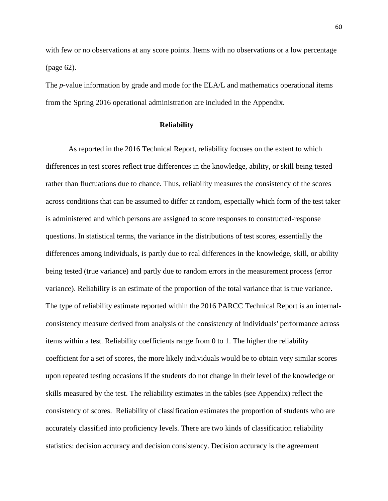with few or no observations at any score points. Items with no observations or a low percentage (page 62).

The *p*-value information by grade and mode for the ELA/L and mathematics operational items from the Spring 2016 operational administration are included in the Appendix.

## **Reliability**

As reported in the 2016 Technical Report, reliability focuses on the extent to which differences in test scores reflect true differences in the knowledge, ability, or skill being tested rather than fluctuations due to chance. Thus, reliability measures the consistency of the scores across conditions that can be assumed to differ at random, especially which form of the test taker is administered and which persons are assigned to score responses to constructed-response questions. In statistical terms, the variance in the distributions of test scores, essentially the differences among individuals, is partly due to real differences in the knowledge, skill, or ability being tested (true variance) and partly due to random errors in the measurement process (error variance). Reliability is an estimate of the proportion of the total variance that is true variance. The type of reliability estimate reported within the 2016 PARCC Technical Report is an internalconsistency measure derived from analysis of the consistency of individuals' performance across items within a test. Reliability coefficients range from 0 to 1. The higher the reliability coefficient for a set of scores, the more likely individuals would be to obtain very similar scores upon repeated testing occasions if the students do not change in their level of the knowledge or skills measured by the test. The reliability estimates in the tables (see Appendix) reflect the consistency of scores. Reliability of classification estimates the proportion of students who are accurately classified into proficiency levels. There are two kinds of classification reliability statistics: decision accuracy and decision consistency. Decision accuracy is the agreement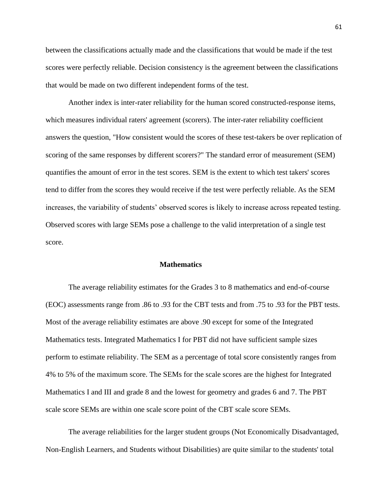between the classifications actually made and the classifications that would be made if the test scores were perfectly reliable. Decision consistency is the agreement between the classifications that would be made on two different independent forms of the test.

Another index is inter-rater reliability for the human scored constructed-response items, which measures individual raters' agreement (scorers). The inter-rater reliability coefficient answers the question, "How consistent would the scores of these test-takers be over replication of scoring of the same responses by different scorers?" The standard error of measurement (SEM) quantifies the amount of error in the test scores. SEM is the extent to which test takers' scores tend to differ from the scores they would receive if the test were perfectly reliable. As the SEM increases, the variability of students' observed scores is likely to increase across repeated testing. Observed scores with large SEMs pose a challenge to the valid interpretation of a single test score.

## **Mathematics**

The average reliability estimates for the Grades 3 to 8 mathematics and end-of-course (EOC) assessments range from .86 to .93 for the CBT tests and from .75 to .93 for the PBT tests. Most of the average reliability estimates are above .90 except for some of the Integrated Mathematics tests. Integrated Mathematics I for PBT did not have sufficient sample sizes perform to estimate reliability. The SEM as a percentage of total score consistently ranges from 4% to 5% of the maximum score. The SEMs for the scale scores are the highest for Integrated Mathematics I and III and grade 8 and the lowest for geometry and grades 6 and 7. The PBT scale score SEMs are within one scale score point of the CBT scale score SEMs.

The average reliabilities for the larger student groups (Not Economically Disadvantaged, Non-English Learners, and Students without Disabilities) are quite similar to the students' total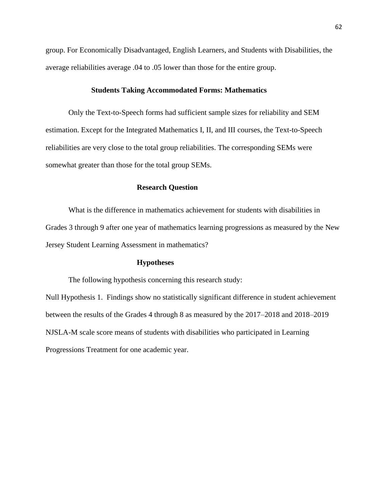group. For Economically Disadvantaged, English Learners, and Students with Disabilities, the average reliabilities average .04 to .05 lower than those for the entire group.

## **Students Taking Accommodated Forms: Mathematics**

Only the Text-to-Speech forms had sufficient sample sizes for reliability and SEM estimation. Except for the Integrated Mathematics I, II, and III courses, the Text-to-Speech reliabilities are very close to the total group reliabilities. The corresponding SEMs were somewhat greater than those for the total group SEMs.

# **Research Question**

What is the difference in mathematics achievement for students with disabilities in Grades 3 through 9 after one year of mathematics learning progressions as measured by the New Jersey Student Learning Assessment in mathematics?

# **Hypotheses**

The following hypothesis concerning this research study:

Null Hypothesis 1. Findings show no statistically significant difference in student achievement between the results of the Grades 4 through 8 as measured by the 2017–2018 and 2018–2019 NJSLA-M scale score means of students with disabilities who participated in Learning Progressions Treatment for one academic year.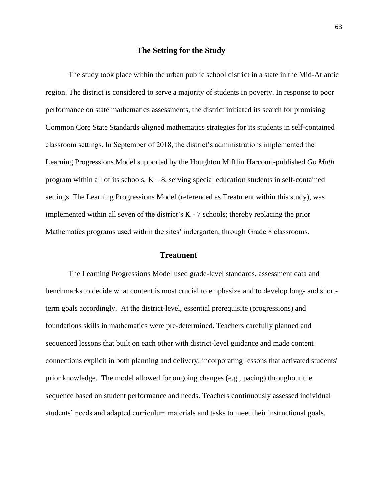### **The Setting for the Study**

The study took place within the urban public school district in a state in the Mid-Atlantic region. The district is considered to serve a majority of students in poverty. In response to poor performance on state mathematics assessments, the district initiated its search for promising Common Core State Standards-aligned mathematics strategies for its students in self-contained classroom settings. In September of 2018, the district's administrations implemented the Learning Progressions Model supported by the Houghton Mifflin Harcourt-published *Go Math* program within all of its schools,  $K - 8$ , serving special education students in self-contained settings. The Learning Progressions Model (referenced as Treatment within this study), was implemented within all seven of the district's K - 7 schools; thereby replacing the prior Mathematics programs used within the sites' indergarten, through Grade 8 classrooms.

### **Treatment**

The Learning Progressions Model used grade-level standards, assessment data and benchmarks to decide what content is most crucial to emphasize and to develop long- and shortterm goals accordingly. At the district-level, essential prerequisite (progressions) and foundations skills in mathematics were pre-determined. Teachers carefully planned and sequenced lessons that built on each other with district-level guidance and made content connections explicit in both planning and delivery; incorporating lessons that activated students' prior knowledge. The model allowed for ongoing changes (e.g., pacing) throughout the sequence based on student performance and needs. Teachers continuously assessed individual students' needs and adapted curriculum materials and tasks to meet their instructional goals.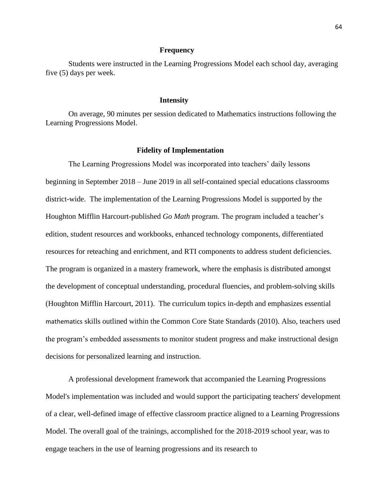#### **Frequency**

Students were instructed in the Learning Progressions Model each school day, averaging five (5) days per week.

### **Intensity**

On average, 90 minutes per session dedicated to Mathematics instructions following the Learning Progressions Model.

#### **Fidelity of Implementation**

The Learning Progressions Model was incorporated into teachers' daily lessons beginning in September 2018 – June 2019 in all self-contained special educations classrooms district-wide. The implementation of the Learning Progressions Model is supported by the Houghton Mifflin Harcourt-published *Go Math* program. The program included a teacher's edition, student resources and workbooks, enhanced technology components, differentiated resources for reteaching and enrichment, and RTI components to address student deficiencies. The program is organized in a mastery framework, where the emphasis is distributed amongst the development of conceptual understanding, procedural fluencies, and problem-solving skills (Houghton Mifflin Harcourt, 2011). The curriculum topics in-depth and emphasizes essential mathematics skills outlined within the Common Core State Standards (2010). Also, teachers used the program's embedded assessments to monitor student progress and make instructional design decisions for personalized learning and instruction.

A professional development framework that accompanied the Learning Progressions Model's implementation was included and would support the participating teachers' development of a clear, well-defined image of effective classroom practice aligned to a Learning Progressions Model. The overall goal of the trainings, accomplished for the 2018-2019 school year, was to engage teachers in the use of learning progressions and its research to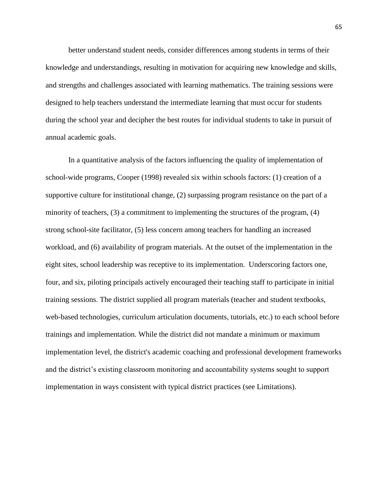better understand student needs, consider differences among students in terms of their knowledge and understandings, resulting in motivation for acquiring new knowledge and skills, and strengths and challenges associated with learning mathematics. The training sessions were designed to help teachers understand the intermediate learning that must occur for students during the school year and decipher the best routes for individual students to take in pursuit of annual academic goals.

In a quantitative analysis of the factors influencing the quality of implementation of school-wide programs, Cooper (1998) revealed six within schools factors: (1) creation of a supportive culture for institutional change, (2) surpassing program resistance on the part of a minority of teachers, (3) a commitment to implementing the structures of the program, (4) strong school-site facilitator, (5) less concern among teachers for handling an increased workload, and (6) availability of program materials. At the outset of the implementation in the eight sites, school leadership was receptive to its implementation. Underscoring factors one, four, and six, piloting principals actively encouraged their teaching staff to participate in initial training sessions. The district supplied all program materials (teacher and student textbooks, web-based technologies, curriculum articulation documents, tutorials, etc.) to each school before trainings and implementation. While the district did not mandate a minimum or maximum implementation level, the district's academic coaching and professional development frameworks and the district's existing classroom monitoring and accountability systems sought to support implementation in ways consistent with typical district practices (see Limitations).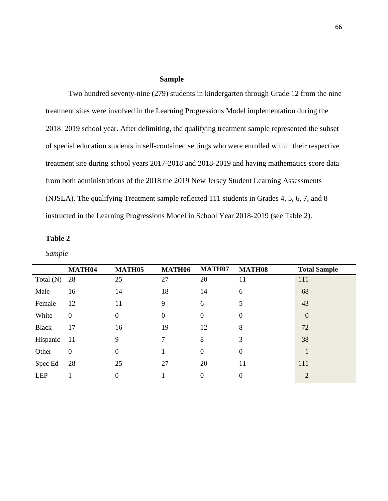#### **Sample**

Two hundred seventy-nine (279) students in kindergarten through Grade 12 from the nine treatment sites were involved in the Learning Progressions Model implementation during the 2018–2019 school year. After delimiting, the qualifying treatment sample represented the subset of special education students in self-contained settings who were enrolled within their respective treatment site during school years 2017-2018 and 2018-2019 and having mathematics score data from both administrations of the 2018 the 2019 New Jersey Student Learning Assessments (NJSLA). The qualifying Treatment sample reflected 111 students in Grades 4, 5, 6, 7, and 8 instructed in the Learning Progressions Model in School Year 2018-2019 (see Table 2).

|             | MATH04           | MATH <sub>05</sub> | MATH06           | MATH07           | <b>MATH08</b>    | <b>Total Sample</b> |
|-------------|------------------|--------------------|------------------|------------------|------------------|---------------------|
| Total $(N)$ | 28               | 25                 | 27               | 20               | 11               | 111                 |
| Male        | 16               | 14                 | 18               | 14               | 6                | 68                  |
| Female      | 12               | 11                 | 9                | 6                | 5                | 43                  |
| White       | $\mathbf{0}$     | $\overline{0}$     | $\boldsymbol{0}$ | $\overline{0}$   | $\boldsymbol{0}$ | $\theta$            |
| Black       | 17               | 16                 | 19               | 12               | 8                | 72                  |
| Hispanic    | -11              | 9                  | 7                | 8                | 3                | 38                  |
| Other       | $\boldsymbol{0}$ | $\overline{0}$     | 1                | $\overline{0}$   | $\boldsymbol{0}$ | 1                   |
| Spec Ed     | 28               | 25                 | 27               | 20               | 11               | 111                 |
| <b>LEP</b>  |                  | 0                  |                  | $\boldsymbol{0}$ | $\boldsymbol{0}$ | $\overline{2}$      |

*Sample*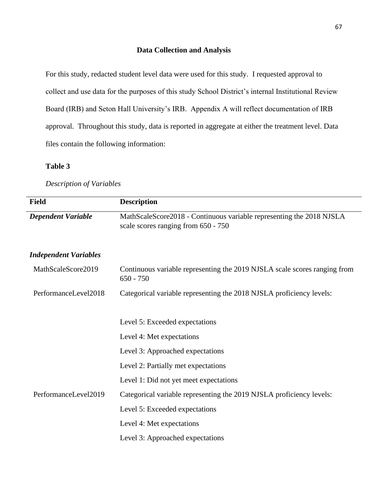### **Data Collection and Analysis**

For this study, redacted student level data were used for this study. I requested approval to collect and use data for the purposes of this study School District's internal Institutional Review Board (IRB) and Seton Hall University's IRB. Appendix A will reflect documentation of IRB approval. Throughout this study, data is reported in aggregate at either the treatment level. Data files contain the following information:

### **Table 3**

### *Description of Variables*

| <b>Field</b>                 | <b>Description</b>                                                                                          |
|------------------------------|-------------------------------------------------------------------------------------------------------------|
| <b>Dependent Variable</b>    | MathScaleScore2018 - Continuous variable representing the 2018 NJSLA<br>scale scores ranging from 650 - 750 |
| <b>Independent Variables</b> |                                                                                                             |
| MathScaleScore2019           | Continuous variable representing the 2019 NJSLA scale scores ranging from<br>$650 - 750$                    |
| PerformanceLevel2018         | Categorical variable representing the 2018 NJSLA proficiency levels:                                        |
|                              |                                                                                                             |
|                              | Level 5: Exceeded expectations                                                                              |
|                              | Level 4: Met expectations                                                                                   |
|                              | Level 3: Approached expectations                                                                            |
|                              | Level 2: Partially met expectations                                                                         |
|                              | Level 1: Did not yet meet expectations                                                                      |
| PerformanceLevel2019         | Categorical variable representing the 2019 NJSLA proficiency levels:                                        |
|                              | Level 5: Exceeded expectations                                                                              |
|                              | Level 4: Met expectations                                                                                   |
|                              | Level 3: Approached expectations                                                                            |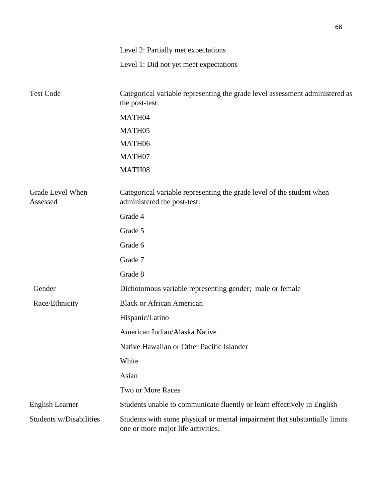|                                | Level 2: Partially met expectations                                                                              |  |  |  |  |
|--------------------------------|------------------------------------------------------------------------------------------------------------------|--|--|--|--|
|                                | Level 1: Did not yet meet expectations                                                                           |  |  |  |  |
| <b>Test Code</b>               | Categorical variable representing the grade level assessment administered as<br>the post-test:                   |  |  |  |  |
|                                | MATH04                                                                                                           |  |  |  |  |
|                                | MATH05                                                                                                           |  |  |  |  |
|                                | MATH06                                                                                                           |  |  |  |  |
|                                | MATH07                                                                                                           |  |  |  |  |
|                                | MATH08                                                                                                           |  |  |  |  |
| Grade Level When<br>Assessed   | Categorical variable representing the grade level of the student when<br>administered the post-test:             |  |  |  |  |
|                                | Grade 4                                                                                                          |  |  |  |  |
|                                | Grade 5                                                                                                          |  |  |  |  |
|                                | Grade 6                                                                                                          |  |  |  |  |
|                                | Grade 7                                                                                                          |  |  |  |  |
|                                | Grade 8                                                                                                          |  |  |  |  |
| Gender                         | Dichotomous variable representing gender; male or female                                                         |  |  |  |  |
| Race/Ethnicity                 | <b>Black or African American</b>                                                                                 |  |  |  |  |
|                                | Hispanic/Latino                                                                                                  |  |  |  |  |
|                                | American Indian/Alaska Native                                                                                    |  |  |  |  |
|                                | Native Hawaiian or Other Pacific Islander                                                                        |  |  |  |  |
|                                | White                                                                                                            |  |  |  |  |
|                                | Asian                                                                                                            |  |  |  |  |
|                                | <b>Two or More Races</b>                                                                                         |  |  |  |  |
| <b>English Learner</b>         | Students unable to communicate fluently or learn effectively in English                                          |  |  |  |  |
| <b>Students w/Disabilities</b> | Students with some physical or mental impairment that substantially limits<br>one or more major life activities. |  |  |  |  |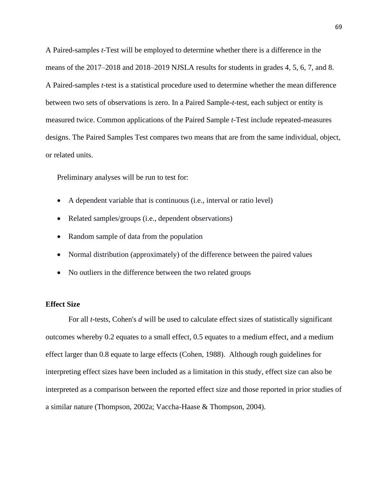A Paired-samples *t*-Test will be employed to determine whether there is a difference in the means of the 2017–2018 and 2018–2019 NJSLA results for students in grades 4, 5, 6, 7, and 8. A Paired-samples *t*-test is a statistical procedure used to determine whether the mean difference between two sets of observations is zero. In a Paired Sample-*t*-test, each subject or entity is measured twice. Common applications of the Paired Sample *t*-Test include repeated-measures designs. The Paired Samples Test compares two means that are from the same individual, object, or related units.

Preliminary analyses will be run to test for:

- A dependent variable that is continuous (i.e., interval or ratio level)
- Related samples/groups (i.e., dependent observations)
- Random sample of data from the population
- Normal distribution (approximately) of the difference between the paired values
- No outliers in the difference between the two related groups

#### **Effect Size**

For all *t*-tests, Cohen's *d* will be used to calculate effect sizes of statistically significant outcomes whereby 0.2 equates to a small effect, 0.5 equates to a medium effect, and a medium effect larger than 0.8 equate to large effects (Cohen, 1988). Although rough guidelines for interpreting effect sizes have been included as a limitation in this study, effect size can also be interpreted as a comparison between the reported effect size and those reported in prior studies of a similar nature (Thompson, 2002a; Vaccha-Haase & Thompson, 2004).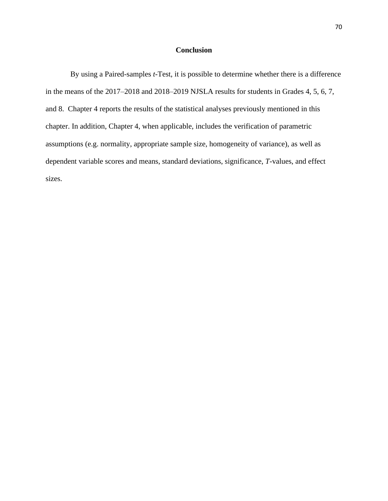### **Conclusion**

By using a Paired-samples *t*-Test, it is possible to determine whether there is a difference in the means of the 2017–2018 and 2018–2019 NJSLA results for students in Grades 4, 5, 6, 7, and 8. Chapter 4 reports the results of the statistical analyses previously mentioned in this chapter. In addition, Chapter 4, when applicable, includes the verification of parametric assumptions (e.g. normality, appropriate sample size, homogeneity of variance), as well as dependent variable scores and means, standard deviations, significance, *T*-values, and effect sizes.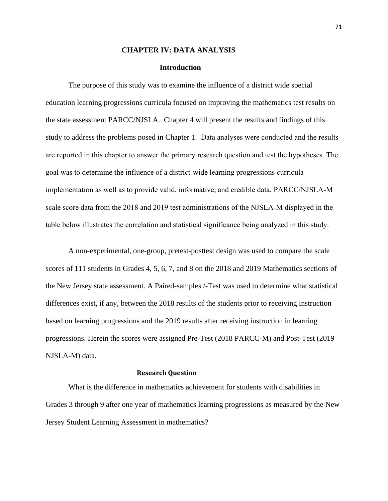### **CHAPTER IV: DATA ANALYSIS**

#### **Introduction**

The purpose of this study was to examine the influence of a district wide special education learning progressions curricula focused on improving the mathematics test results on the state assessment PARCC/NJSLA. Chapter 4 will present the results and findings of this study to address the problems posed in Chapter 1. Data analyses were conducted and the results are reported in this chapter to answer the primary research question and test the hypotheses. The goal was to determine the influence of a district-wide learning progressions curricula implementation as well as to provide valid, informative, and credible data. PARCC/NJSLA-M scale score data from the 2018 and 2019 test administrations of the NJSLA-M displayed in the table below illustrates the correlation and statistical significance being analyzed in this study.

A non-experimental, one-group, pretest-posttest design was used to compare the scale scores of 111 students in Grades 4, 5, 6, 7, and 8 on the 2018 and 2019 Mathematics sections of the New Jersey state assessment. A Paired-samples *t*-Test was used to determine what statistical differences exist, if any, between the 2018 results of the students prior to receiving instruction based on learning progressions and the 2019 results after receiving instruction in learning progressions. Herein the scores were assigned Pre-Test (2018 PARCC-M) and Post-Test (2019 NJSLA-M) data.

### **Research Question**

What is the difference in mathematics achievement for students with disabilities in Grades 3 through 9 after one year of mathematics learning progressions as measured by the New Jersey Student Learning Assessment in mathematics?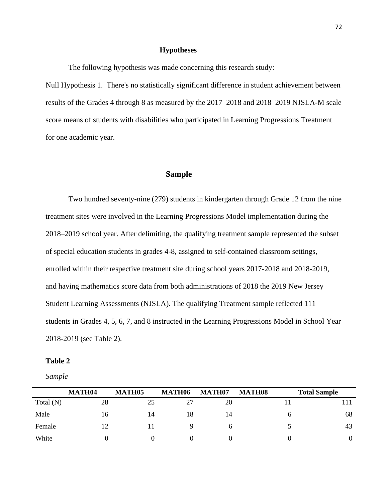### **Hypotheses**

The following hypothesis was made concerning this research study:

Null Hypothesis 1. There's no statistically significant difference in student achievement between results of the Grades 4 through 8 as measured by the 2017–2018 and 2018–2019 NJSLA-M scale score means of students with disabilities who participated in Learning Progressions Treatment for one academic year.

### **Sample**

Two hundred seventy-nine (279) students in kindergarten through Grade 12 from the nine treatment sites were involved in the Learning Progressions Model implementation during the 2018–2019 school year. After delimiting, the qualifying treatment sample represented the subset of special education students in grades 4-8, assigned to self-contained classroom settings, enrolled within their respective treatment site during school years 2017-2018 and 2018-2019, and having mathematics score data from both administrations of 2018 the 2019 New Jersey Student Learning Assessments (NJSLA). The qualifying Treatment sample reflected 111 students in Grades 4, 5, 6, 7, and 8 instructed in the Learning Progressions Model in School Year 2018-2019 (see Table 2).

#### Table 2

*Sample*

|             | <b>MATH04</b> | MATH <sub>05</sub> | MATH06 | MATH07       | <b>MATH08</b> | <b>Total Sample</b> |
|-------------|---------------|--------------------|--------|--------------|---------------|---------------------|
| Total $(N)$ | 28            | 25                 | 27     | 20           |               |                     |
| Male        | 16            | 14                 | 18     | 14           | h             | 68                  |
| Female      | 12            |                    |        | <sub>0</sub> |               | 43                  |
| White       |               |                    |        |              |               | 0                   |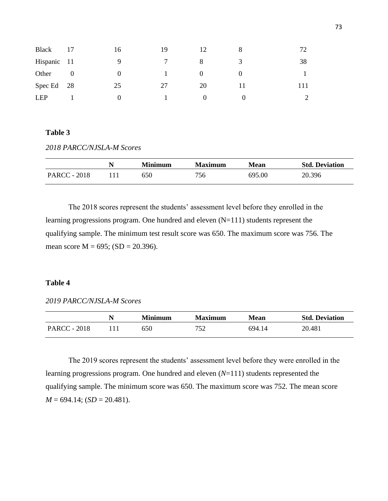| <b>Black</b> |          | 16       | 19 |    | 8 | 72  |
|--------------|----------|----------|----|----|---|-----|
| Hispanic 11  |          | 9        |    | 8  | 3 | 38  |
| Other        | $\theta$ | $\theta$ |    | O  |   |     |
| Spec Ed      | - 28     | 25       | 27 | 20 |   | !11 |
| <b>LEP</b>   |          | $\theta$ |    |    |   |     |

### Table 3

*2018 PARCC/NJSLA-M Scores*

|                     | <b>Minimum</b> | Maximum | <b>Mean</b> | <b>Std. Deviation</b> |
|---------------------|----------------|---------|-------------|-----------------------|
| <b>PARCC - 2018</b> | 650            | 756     | 695.00      | 20.396                |

The 2018 scores represent the students' assessment level before they enrolled in the learning progressions program. One hundred and eleven (N=111) students represent the qualifying sample. The minimum test result score was 650. The maximum score was 756. The mean score  $M = 695$ ; (SD = 20.396).

### **Table 4**

*2019 PARCC/NJSLA-M Scores*

|                     | <b>Minimum</b> | <b>Maximum</b> | Mean   | <b>Std. Deviation</b> |
|---------------------|----------------|----------------|--------|-----------------------|
| <b>PARCC - 2018</b> | 650            | 752            | 694 14 | 20.481                |

The 2019 scores represent the students' assessment level before they were enrolled in the learning progressions program. One hundred and eleven (*N*=111) students represented the qualifying sample. The minimum score was 650. The maximum score was 752. The mean score  $M = 694.14$ ;  $SD = 20.481$ ).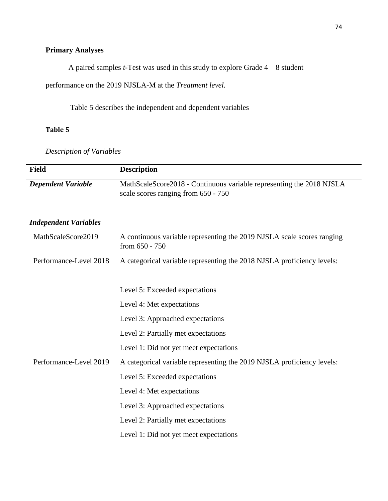# **Primary Analyses**

A paired samples *t*-Test was used in this study to explore Grade 4 – 8 student

performance on the 2019 NJSLA-M at the *Treatment level.*

Table 5 describes the independent and dependent variables

# **Table 5**

*Description of Variables*

| <b>Field</b>                 | <b>Description</b>                                                                                          |
|------------------------------|-------------------------------------------------------------------------------------------------------------|
| <b>Dependent Variable</b>    | MathScaleScore2018 - Continuous variable representing the 2018 NJSLA<br>scale scores ranging from 650 - 750 |
| <b>Independent Variables</b> |                                                                                                             |
| MathScaleScore2019           | A continuous variable representing the 2019 NJSLA scale scores ranging<br>from 650 - 750                    |
| Performance-Level 2018       | A categorical variable representing the 2018 NJSLA proficiency levels:                                      |
|                              |                                                                                                             |
|                              | Level 5: Exceeded expectations                                                                              |
|                              | Level 4: Met expectations                                                                                   |
|                              | Level 3: Approached expectations                                                                            |
|                              | Level 2: Partially met expectations                                                                         |
|                              | Level 1: Did not yet meet expectations                                                                      |
| Performance-Level 2019       | A categorical variable representing the 2019 NJSLA proficiency levels:                                      |
|                              | Level 5: Exceeded expectations                                                                              |
|                              | Level 4: Met expectations                                                                                   |
|                              | Level 3: Approached expectations                                                                            |
|                              | Level 2: Partially met expectations                                                                         |
|                              | Level 1: Did not yet meet expectations                                                                      |
|                              |                                                                                                             |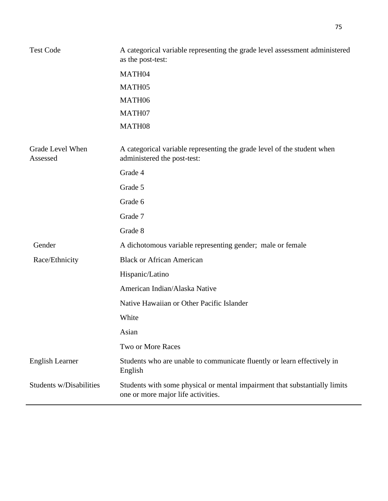| <b>Test Code</b>             | A categorical variable representing the grade level assessment administered<br>as the post-test:                 |  |  |  |
|------------------------------|------------------------------------------------------------------------------------------------------------------|--|--|--|
|                              | MATH04                                                                                                           |  |  |  |
|                              | MATH05                                                                                                           |  |  |  |
|                              | MATH06                                                                                                           |  |  |  |
|                              | MATH07                                                                                                           |  |  |  |
|                              | MATH08                                                                                                           |  |  |  |
| Grade Level When<br>Assessed | A categorical variable representing the grade level of the student when<br>administered the post-test:           |  |  |  |
|                              | Grade 4                                                                                                          |  |  |  |
|                              | Grade 5                                                                                                          |  |  |  |
|                              | Grade 6                                                                                                          |  |  |  |
|                              | Grade 7                                                                                                          |  |  |  |
|                              | Grade 8                                                                                                          |  |  |  |
| Gender                       | A dichotomous variable representing gender; male or female                                                       |  |  |  |
| Race/Ethnicity               | <b>Black or African American</b>                                                                                 |  |  |  |
|                              | Hispanic/Latino                                                                                                  |  |  |  |
|                              | American Indian/Alaska Native                                                                                    |  |  |  |
|                              | Native Hawaiian or Other Pacific Islander                                                                        |  |  |  |
|                              | White                                                                                                            |  |  |  |
|                              | Asian                                                                                                            |  |  |  |
|                              | Two or More Races                                                                                                |  |  |  |
| <b>English Learner</b>       | Students who are unable to communicate fluently or learn effectively in<br>English                               |  |  |  |
| Students w/Disabilities      | Students with some physical or mental impairment that substantially limits<br>one or more major life activities. |  |  |  |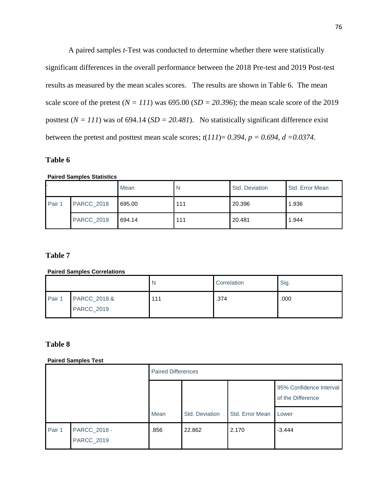A paired samples *t*-Test was conducted to determine whether there were statistically significant differences in the overall performance between the 2018 Pre-test and 2019 Post-test results as measured by the mean scales scores. The results are shown in Table 6. The mean scale score of the pretest  $(N = 111)$  was 695.00  $(SD = 20.396)$ ; the mean scale score of the 2019 posttest  $(N = 111)$  was of 694.14 (*SD* = 20.481). No statistically significant difference exist between the pretest and posttest mean scale scores;  $t(111) = 0.394$ ,  $p = 0.694$ ,  $d = 0.0374$ .

### **Table 6**

**Paired Samples Statistics**

|        |                   | Mean   | N   | Std. Deviation | Std. Error Mean |
|--------|-------------------|--------|-----|----------------|-----------------|
| Pair 1 | <b>PARCC_2018</b> | 695.00 | 111 | 20.396         | 1.936           |
|        | <b>PARCC_2019</b> | 694.14 | 111 | 20.481         | 1.944           |

# **Table 7**

### **Paired Samples Correlations**

|        |                                   |     | Correlation | Sig. |
|--------|-----------------------------------|-----|-------------|------|
| Pair 1 | PARCC_2018 &<br><b>PARCC_2019</b> | 111 | .374        | .000 |

# **Table 8**

### **Paired Samples Test**

|        |                            | <b>Paired Differences</b> |                |                 |                                              |  |
|--------|----------------------------|---------------------------|----------------|-----------------|----------------------------------------------|--|
|        |                            |                           |                |                 | 95% Confidence Interval<br>of the Difference |  |
|        |                            | Mean                      | Std. Deviation | Std. Error Mean | Lower                                        |  |
| Pair 1 | PARCC_2018 -<br>PARCC_2019 | .856                      | 22.862         | 2.170           | $-3.444$                                     |  |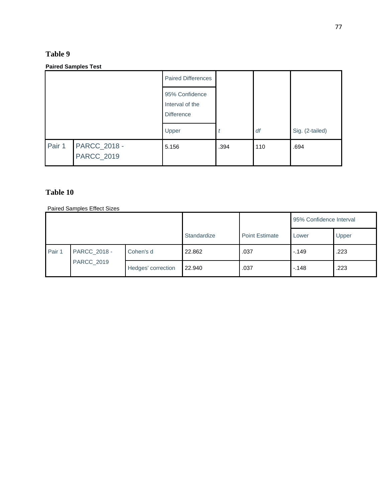# **Table 9**

### **Paired Samples Test**

|        |                                   | <b>Paired Differences</b>                              |      |     |                 |
|--------|-----------------------------------|--------------------------------------------------------|------|-----|-----------------|
|        |                                   | 95% Confidence<br>Interval of the<br><b>Difference</b> |      |     |                 |
|        |                                   | Upper                                                  |      | df  | Sig. (2-tailed) |
| Pair 1 | PARCC_2018 -<br><b>PARCC_2019</b> | 5.156                                                  | .394 | 110 | .694            |

# **Table 10**

Paired Samples Effect Sizes

|        |                                   |                    |                       | 95% Confidence Interval |        |      |
|--------|-----------------------------------|--------------------|-----------------------|-------------------------|--------|------|
|        |                                   | Standardize        | <b>Point Estimate</b> | Lower                   | Upper  |      |
| Pair 1 | PARCC_2018 -<br><b>PARCC_2019</b> | Cohen's d          | 22.862                | .037                    | $-149$ | .223 |
|        |                                   | Hedges' correction | 22.940                | .037                    | $-148$ | .223 |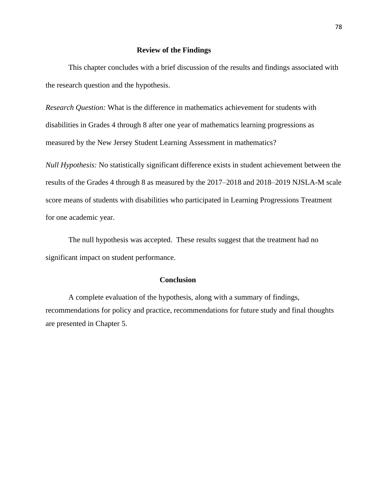### **Review of the Findings**

This chapter concludes with a brief discussion of the results and findings associated with the research question and the hypothesis.

*Research Question:* What is the difference in mathematics achievement for students with disabilities in Grades 4 through 8 after one year of mathematics learning progressions as measured by the New Jersey Student Learning Assessment in mathematics?

*Null Hypothesis:* No statistically significant difference exists in student achievement between the results of the Grades 4 through 8 as measured by the 2017–2018 and 2018–2019 NJSLA-M scale score means of students with disabilities who participated in Learning Progressions Treatment for one academic year.

The null hypothesis was accepted. These results suggest that the treatment had no significant impact on student performance.

### **Conclusion**

A complete evaluation of the hypothesis, along with a summary of findings, recommendations for policy and practice, recommendations for future study and final thoughts are presented in Chapter 5.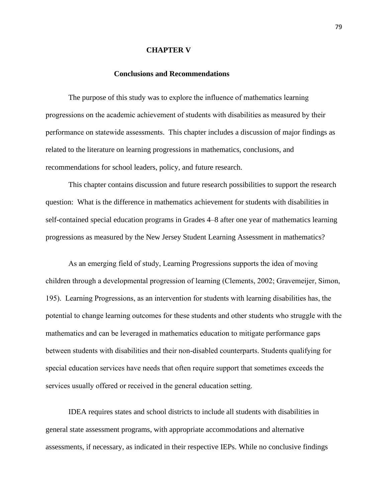#### **CHAPTER V**

### **Conclusions and Recommendations**

The purpose of this study was to explore the influence of mathematics learning progressions on the academic achievement of students with disabilities as measured by their performance on statewide assessments. This chapter includes a discussion of major findings as related to the literature on learning progressions in mathematics, conclusions, and recommendations for school leaders, policy, and future research.

This chapter contains discussion and future research possibilities to support the research question: What is the difference in mathematics achievement for students with disabilities in self-contained special education programs in Grades 4–8 after one year of mathematics learning progressions as measured by the New Jersey Student Learning Assessment in mathematics?

As an emerging field of study, Learning Progressions supports the idea of moving children through a developmental progression of learning (Clements, 2002; Gravemeijer, Simon, 195). Learning Progressions, as an intervention for students with learning disabilities has, the potential to change learning outcomes for these students and other students who struggle with the mathematics and can be leveraged in mathematics education to mitigate performance gaps between students with disabilities and their non-disabled counterparts. Students qualifying for special education services have needs that often require support that sometimes exceeds the services usually offered or received in the general education setting.

IDEA requires states and school districts to include all students with disabilities in general state assessment programs, with appropriate accommodations and alternative assessments, if necessary, as indicated in their respective IEPs. While no conclusive findings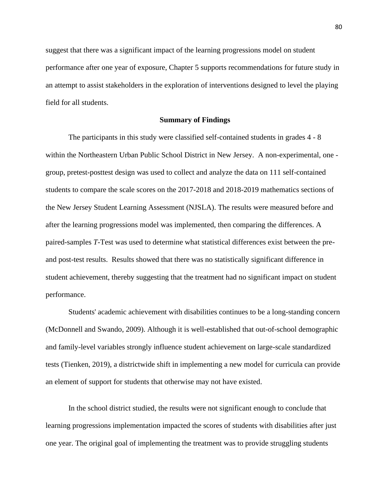suggest that there was a significant impact of the learning progressions model on student performance after one year of exposure, Chapter 5 supports recommendations for future study in an attempt to assist stakeholders in the exploration of interventions designed to level the playing field for all students.

#### **Summary of Findings**

The participants in this study were classified self-contained students in grades 4 - 8 within the Northeastern Urban Public School District in New Jersey. A non-experimental, one group, pretest-posttest design was used to collect and analyze the data on 111 self-contained students to compare the scale scores on the 2017-2018 and 2018-2019 mathematics sections of the New Jersey Student Learning Assessment (NJSLA). The results were measured before and after the learning progressions model was implemented, then comparing the differences. A paired-samples *T*-Test was used to determine what statistical differences exist between the preand post-test results. Results showed that there was no statistically significant difference in student achievement, thereby suggesting that the treatment had no significant impact on student performance.

Students' academic achievement with disabilities continues to be a long-standing concern (McDonnell and Swando, 2009). Although it is well-established that out-of-school demographic and family-level variables strongly influence student achievement on large-scale standardized tests (Tienken, 2019), a districtwide shift in implementing a new model for curricula can provide an element of support for students that otherwise may not have existed.

In the school district studied, the results were not significant enough to conclude that learning progressions implementation impacted the scores of students with disabilities after just one year. The original goal of implementing the treatment was to provide struggling students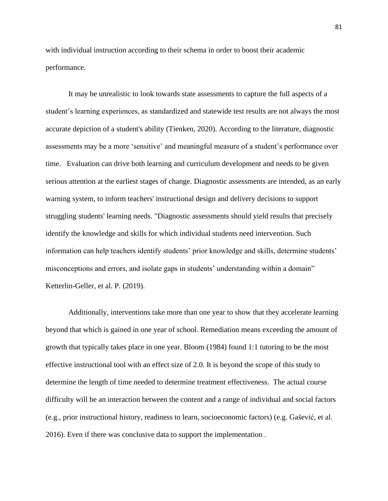with individual instruction according to their schema in order to boost their academic performance.

It may be unrealistic to look towards state assessments to capture the full aspects of a student's learning experiences, as standardized and statewide test results are not always the most accurate depiction of a student's ability (Tienken, 2020). According to the literature, diagnostic assessments may be a more 'sensitive' and meaningful measure of a student's performance over time. Evaluation can drive both learning and curriculum development and needs to be given serious attention at the earliest stages of change. Diagnostic assessments are intended, as an early warning system, to inform teachers' instructional design and delivery decisions to support struggling students' learning needs. "Diagnostic assessments should yield results that precisely identify the knowledge and skills for which individual students need intervention. Such information can help teachers identify students' prior knowledge and skills, determine students' misconceptions and errors, and isolate gaps in students' understanding within a domain" Ketterlin-Geller, et al. P. (2019).

Additionally, interventions take more than one year to show that they accelerate learning beyond that which is gained in one year of school. Remediation means exceeding the amount of growth that typically takes place in one year. Bloom (1984) found 1:1 tutoring to be the most effective instructional tool with an effect size of 2.0. It is beyond the scope of this study to determine the length of time needed to determine treatment effectiveness. The actual course difficulty will be an interaction between the content and a range of individual and social factors (e.g., prior instructional history, readiness to learn, socioeconomic factors) (e.g. Gašević, et al. 2016). Even if there was conclusive data to support the implementation .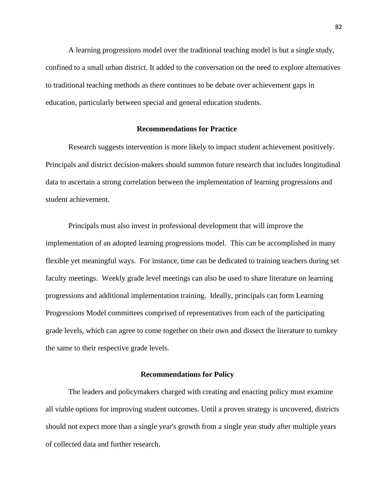A learning progressions model over the traditional teaching model is but a single study, confined to a small urban district. It added to the conversation on the need to explore alternatives to traditional teaching methods as there continues to be debate over achievement gaps in education, particularly between special and general education students.

### **Recommendations for Practice**

Research suggests intervention is more likely to impact student achievement positively. Principals and district decision-makers should summon future research that includes longitudinal data to ascertain a strong correlation between the implementation of learning progressions and student achievement.

Principals must also invest in professional development that will improve the implementation of an adopted learning progressions model. This can be accomplished in many flexible yet meaningful ways. For instance, time can be dedicated to training teachers during set faculty meetings. Weekly grade level meetings can also be used to share literature on learning progressions and additional implementation training. Ideally, principals can form Learning Progressions Model committees comprised of representatives from each of the participating grade levels, which can agree to come together on their own and dissect the literature to turnkey the same to their respective grade levels.

#### **Recommendations for Policy**

The leaders and policymakers charged with creating and enacting policy must examine all viable options for improving student outcomes. Until a proven strategy is uncovered, districts should not expect more than a single year's growth from a single year study after multiple years of collected data and further research.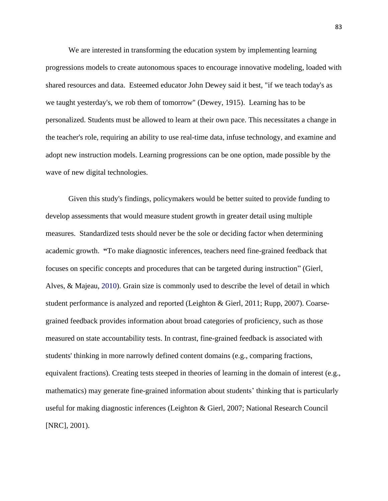We are interested in transforming the education system by implementing learning progressions models to create autonomous spaces to encourage innovative modeling, loaded with shared resources and data. Esteemed educator John Dewey said it best, "if we teach today's as we taught yesterday's, we rob them of tomorrow" (Dewey, 1915). Learning has to be personalized. Students must be allowed to learn at their own pace. This necessitates a change in the teacher's role, requiring an ability to use real-time data, infuse technology, and examine and adopt new instruction models. Learning progressions can be one option, made possible by the wave of new digital technologies.

Given this study's findings, policymakers would be better suited to provide funding to develop assessments that would measure student growth in greater detail using multiple measures. Standardized tests should never be the sole or deciding factor when determining academic growth. **"**To make diagnostic inferences, teachers need fine-grained feedback that focuses on specific concepts and procedures that can be targeted during instruction" (Gierl, Alves, & Majeau, 2010). Grain size is commonly used to describe the level of detail in which student performance is analyzed and reported (Leighton & Gierl, 2011; Rupp, 2007). Coarsegrained feedback provides information about broad categories of proficiency, such as those measured on state accountability tests. In contrast, fine-grained feedback is associated with students' thinking in more narrowly defined content domains (e.g., comparing fractions, equivalent fractions). Creating tests steeped in theories of learning in the domain of interest (e.g., mathematics) may generate fine-grained information about students' thinking that is particularly useful for making diagnostic inferences (Leighton & Gierl, 2007; National Research Council [NRC], 2001).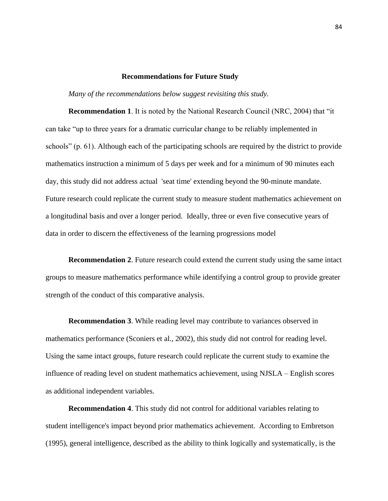#### **Recommendations for Future Study**

*Many of the recommendations below suggest revisiting this study.*

**Recommendation 1**. It is noted by the National Research Council (NRC, 2004) that "it can take "up to three years for a dramatic curricular change to be reliably implemented in schools" (p. 61). Although each of the participating schools are required by the district to provide mathematics instruction a minimum of 5 days per week and for a minimum of 90 minutes each day, this study did not address actual 'seat time' extending beyond the 90-minute mandate. Future research could replicate the current study to measure student mathematics achievement on a longitudinal basis and over a longer period. Ideally, three or even five consecutive years of data in order to discern the effectiveness of the learning progressions model

**Recommendation 2**. Future research could extend the current study using the same intact groups to measure mathematics performance while identifying a control group to provide greater strength of the conduct of this comparative analysis.

**Recommendation 3**. While reading level may contribute to variances observed in mathematics performance (Sconiers et al., 2002), this study did not control for reading level. Using the same intact groups, future research could replicate the current study to examine the influence of reading level on student mathematics achievement, using NJSLA – English scores as additional independent variables.

**Recommendation 4**. This study did not control for additional variables relating to student intelligence's impact beyond prior mathematics achievement. According to Embretson (1995), general intelligence, described as the ability to think logically and systematically, is the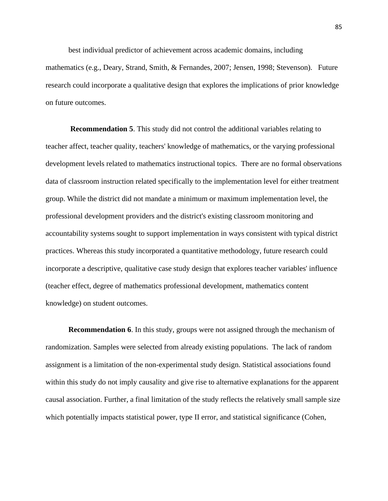best individual predictor of achievement across academic domains, including

mathematics (e.g., Deary, Strand, Smith, & Fernandes, 2007; Jensen, 1998; Stevenson). Future research could incorporate a qualitative design that explores the implications of prior knowledge on future outcomes.

**Recommendation 5**. This study did not control the additional variables relating to teacher affect, teacher quality, teachers' knowledge of mathematics, or the varying professional development levels related to mathematics instructional topics. There are no formal observations data of classroom instruction related specifically to the implementation level for either treatment group. While the district did not mandate a minimum or maximum implementation level, the professional development providers and the district's existing classroom monitoring and accountability systems sought to support implementation in ways consistent with typical district practices. Whereas this study incorporated a quantitative methodology, future research could incorporate a descriptive, qualitative case study design that explores teacher variables' influence (teacher effect, degree of mathematics professional development, mathematics content knowledge) on student outcomes.

**Recommendation 6**. In this study, groups were not assigned through the mechanism of randomization. Samples were selected from already existing populations. The lack of random assignment is a limitation of the non-experimental study design. Statistical associations found within this study do not imply causality and give rise to alternative explanations for the apparent causal association. Further, a final limitation of the study reflects the relatively small sample size which potentially impacts statistical power, type II error, and statistical significance (Cohen,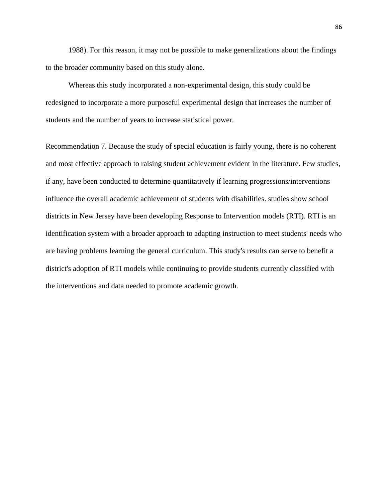1988). For this reason, it may not be possible to make generalizations about the findings to the broader community based on this study alone.

Whereas this study incorporated a non-experimental design, this study could be redesigned to incorporate a more purposeful experimental design that increases the number of students and the number of years to increase statistical power.

Recommendation 7. Because the study of special education is fairly young, there is no coherent and most effective approach to raising student achievement evident in the literature. Few studies, if any, have been conducted to determine quantitatively if learning progressions/interventions influence the overall academic achievement of students with disabilities. studies show school districts in New Jersey have been developing Response to Intervention models (RTI). RTI is an identification system with a broader approach to adapting instruction to meet students' needs who are having problems learning the general curriculum. This study's results can serve to benefit a district's adoption of RTI models while continuing to provide students currently classified with the interventions and data needed to promote academic growth.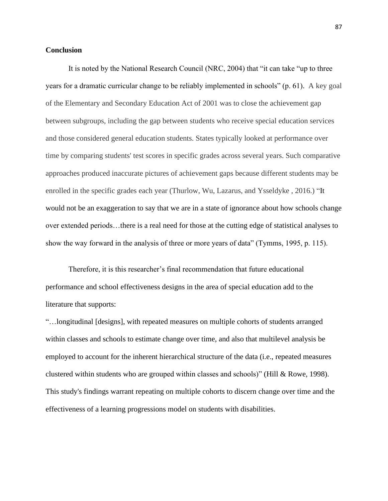### **Conclusion**

It is noted by the National Research Council (NRC, 2004) that "it can take "up to three years for a dramatic curricular change to be reliably implemented in schools" (p. 61). A key goal of the Elementary and Secondary Education Act of 2001 was to close the achievement gap between subgroups, including the gap between students who receive special education services and those considered general education students. States typically looked at performance over time by comparing students' test scores in specific grades across several years. Such comparative approaches produced inaccurate pictures of achievement gaps because different students may be enrolled in the specific grades each year (Thurlow, Wu, Lazarus, and Ysseldyke , 2016.) "It would not be an exaggeration to say that we are in a state of ignorance about how schools change over extended periods…there is a real need for those at the cutting edge of statistical analyses to show the way forward in the analysis of three or more years of data" (Tymms, 1995, p. 115).

Therefore, it is this researcher's final recommendation that future educational performance and school effectiveness designs in the area of special education add to the literature that supports:

"…longitudinal [designs], with repeated measures on multiple cohorts of students arranged within classes and schools to estimate change over time, and also that multilevel analysis be employed to account for the inherent hierarchical structure of the data (i.e., repeated measures clustered within students who are grouped within classes and schools)" (Hill & Rowe, 1998). This study's findings warrant repeating on multiple cohorts to discern change over time and the effectiveness of a learning progressions model on students with disabilities.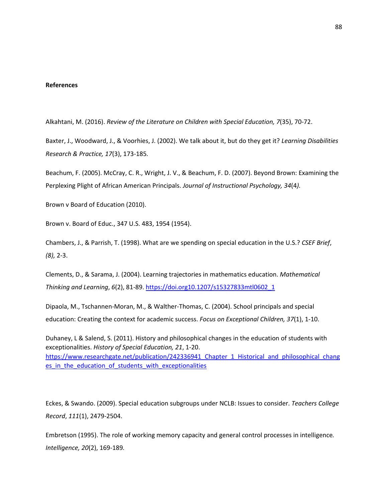#### **References**

Alkahtani, M. (2016). *Review of the Literature on Children with Special Education, 7*(35), 70-72.

Baxter, J., Woodward, J., & Voorhies, J. (2002). We talk about it, but do they get it? *Learning Disabilities Research & Practice, 17*(3), 173-185*.*

Beachum, F. (2005). McCray, C. R., Wright, J. V., & Beachum, F. D. (2007). Beyond Brown: Examining the Perplexing Plight of African American Principals. *Journal of Instructional Psychology, 34*(4*).*

Brown v Board of Education (2010).

Brown v. Board of Educ., 347 U.S. 483, 1954 (1954).

Chambers, J., & Parrish, T. (1998). What are we spending on special education in the U.S.? *CSEF Brief*, *(8),* 2-3.

Clements, D., & Sarama, J. (2004). Learning trajectories in mathematics education. *Mathematical Thinking and Learning*, *6*(2), 81-89. [https://doi.org10.1207/s15327833mtl0602\\_1](https://doi.org10.1207/s15327833mtl0602_1)

Dipaola, M., Tschannen-Moran, M., & Walther-Thomas, C. (2004). School principals and special education: Creating the context for academic success. *Focus on Exceptional Children, 37*(1), 1-10.

Duhaney, L & Salend, S. (2011). History and philosophical changes in the education of students with exceptionalities. *History of Special Education, 21*, 1-20. https://www.researchgate.net/publication/242336941 Chapter 1 Historical and philosophical chang es in the education of students with exceptionalities

Eckes, & Swando. (2009). Special education subgroups under NCLB: Issues to consider. *Teachers College Record*, *111*(1), 2479-2504.

Embretson (1995). The role of working memory capacity and general control processes in intelligence*. Intelligence, 20*(2), 169-189*.*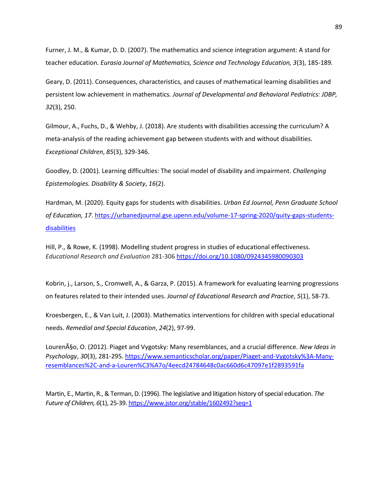Furner, J. M., & Kumar, D. D. (2007). The mathematics and science integration argument: A stand for teacher education. *Eurasia Journal of Mathematics, Science and Technology Education, 3*(3), 185-189*.*

Geary, D. (2011). Consequences, characteristics, and causes of mathematical learning disabilities and persistent low achievement in mathematics*. Journal of Developmental and Behavioral Pediatrics: JDBP, 32*(3), 250.

Gilmour, A., Fuchs, D., & Wehby, J. (2018). Are students with disabilities accessing the curriculum? A meta-analysis of the reading achievement gap between students with and without disabilities. *Exceptional Children*, *85*(3), 329-346.

Goodley, D. (2001). Learning difficulties: The social model of disability and impairment. *Challenging Epistemologies. Disability & Society*, *16*(2).

Hardman, M. (2020). Equity gaps for students with disabilities. *Urban Ed Journal, Penn Graduate School of Education, 17*[. https://urbanedjournal.gse.upenn.edu/volume-17-spring-2020/quity-gaps-students](https://urbanedjournal.gse.upenn.edu/volume-17-spring-2020/quity-gaps-students-disabilities)[disabilities](https://urbanedjournal.gse.upenn.edu/volume-17-spring-2020/quity-gaps-students-disabilities)

Hill, P., & Rowe, K. (1998). Modelling student progress in studies of educational effectiveness. *Educational Research and Evaluation* 281-30[6 https://doi.org/10.1080/0924345980090303](https://doi.org/10.1080/0924345980090303)

Kobrin, j., Larson, S., Cromwell, A., & Garza, P. (2015). A framework for evaluating learning progressions on features related to their intended uses. *Journal of Educational Research and Practice*, *5*(1), 58-73.

Kroesbergen, E., & Van Luit, J. (2003). Mathematics interventions for children with special educational needs. *Remedial and Special Education*, *24*(2), 97-99.

Louren<sub>A</sub>§<sub>o</sub>, O. (2012). Piaget and Vygotsky: Many resemblances, and a crucial difference. *New Ideas in Psychology*, *30*(3), 281-295[. https://www.semanticscholar.org/paper/Piaget-and-Vygotsky%3A-Many](https://www.semanticscholar.org/paper/Piaget-and-Vygotsky%3A-Many-resemblances%2C-and-a-Louren%C3%A7o/4eecd24784648c0ac660d6c47097e1f2893591fa)[resemblances%2C-and-a-Louren%C3%A7o/4eecd24784648c0ac660d6c47097e1f2893591fa](https://www.semanticscholar.org/paper/Piaget-and-Vygotsky%3A-Many-resemblances%2C-and-a-Louren%C3%A7o/4eecd24784648c0ac660d6c47097e1f2893591fa)

Martin, E., Martin, R., & Terman, D. (1996). The legislative and litigation history of special education. *The Future of Children, 6*(1), 25-39.<https://www.jstor.org/stable/1602492?seq=1>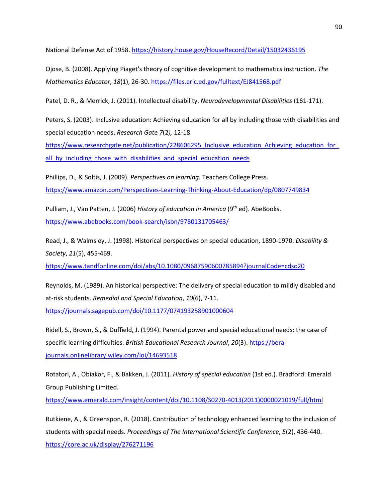National Defense Act of 1958.<https://history.house.gov/HouseRecord/Detail/15032436195>

Ojose, B. (2008). Applying Piaget's theory of cognitive development to mathematics instruction. *The Mathematics Educator*, *18*(1), 26-30. <https://files.eric.ed.gov/fulltext/EJ841568.pdf>

Patel, D. R., & Merrick, J. (2011). Intellectual disability. *Neurodevelopmental Disabilities* (161-171).

Peters, S. (2003). Inclusive education: Achieving education for all by including those with disabilities and special education needs. *Research Gate 7*(2*),* 12-18.

https://www.researchgate.net/publication/228606295\_Inclusive\_education\_Achieving\_education\_for all by including those with disabilities and special education needs

Phillips, D., & Soltis, J. (2009). *Perspectives on learning*. Teachers College Press. <https://www.amazon.com/Perspectives-Learning-Thinking-About-Education/dp/0807749834>

Pulliam, J., Van Patten, J. (2006) *History of education in America* (9th ed). AbeBooks. <https://www.abebooks.com/book-search/isbn/9780131705463/>

Read, J., & Walmsley, J. (1998). Historical perspectives on special education, 1890-1970. *Disability & Society*, *21*(5), 455-469.

<https://www.tandfonline.com/doi/abs/10.1080/09687590600785894?journalCode=cdso20>

Reynolds, M. (1989). An historical perspective: The delivery of special education to mildly disabled and at-risk students. *Remedial and Special Education*, *10*(6), 7-11.

<https://journals.sagepub.com/doi/10.1177/074193258901000604>

Ridell, S., Brown, S., & Duffield, J. (1994). Parental power and special educational needs: the case of specific learning difficulties. *British Educational Research Journal*, *20*(3). [https://bera](https://bera-journals.onlinelibrary.wiley.com/loi/14693518)[journals.onlinelibrary.wiley.com/loi/14693518](https://bera-journals.onlinelibrary.wiley.com/loi/14693518)

Rotatori, A., Obiakor, F., & Bakken, J. (2011). *History of special education* (1st ed.). Bradford: Emerald Group Publishing Limited.

[https://www.emerald.com/insight/content/doi/10.1108/S0270-4013\(2011\)0000021019/full/html](https://www.emerald.com/insight/content/doi/10.1108/S0270-4013(2011)0000021019/full/html)

Rutkiene, A., & Greenspon, R. (2018). Contribution of technology enhanced learning to the inclusion of students with special needs. *Proceedings of The International Scientific Conference*, *5*(2), 436-440. <https://core.ac.uk/display/276271196>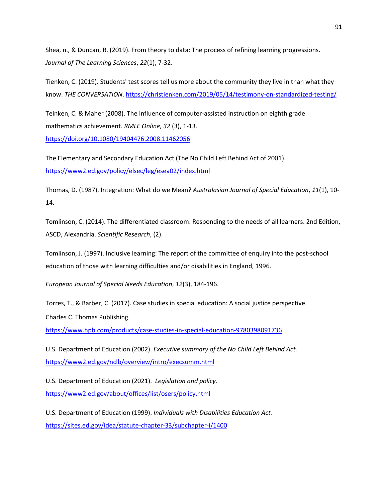Shea, n., & Duncan, R. (2019). From theory to data: The process of refining learning progressions. *Journal of The Learning Sciences*, *22*(1), 7-32.

Tienken, C. (2019). Students' test scores tell us more about the community they live in than what they know. *THE CONVERSATION*. <https://christienken.com/2019/05/14/testimony-on-standardized-testing/>

Teinken, C. & Maher (2008). The influence of computer-assisted instruction on eighth grade mathematics achievement. *RMLE Online, 32* (3), 1-13. <https://doi.org/10.1080/19404476.2008.11462056>

The Elementary and Secondary Education Act (The No Child Left Behind Act of 2001). <https://www2.ed.gov/policy/elsec/leg/esea02/index.html>

Thomas, D. (1987). Integration: What do we Mean? *Australasian Journal of Special Education*, *11*(1), 10- 14.

Tomlinson, C. (2014). The differentiated classroom: Responding to the needs of all learners. 2nd Edition, ASCD, Alexandria. *Scientific Research*, (2).

Tomlinson, J. (1997). Inclusive learning: The report of the committee of enquiry into the post-school education of those with learning difficulties and/or disabilities in England, 1996.

*European Journal of Special Needs Education*, *12*(3), 184-196.

Torres, T., & Barber, C. (2017). Case studies in special education: A social justice perspective.

Charles C. Thomas Publishing.

<https://www.hpb.com/products/case-studies-in-special-education-9780398091736>

U.S. Department of Education (2002). *Executive summary of the No Child Left Behind Act.* <https://www2.ed.gov/nclb/overview/intro/execsumm.html>

U.S. Department of Education (2021). *Legislation and policy.* <https://www2.ed.gov/about/offices/list/osers/policy.html>

U.S. Department of Education (1999). *Individuals with Disabilities Education Act.* <https://sites.ed.gov/idea/statute-chapter-33/subchapter-i/1400>